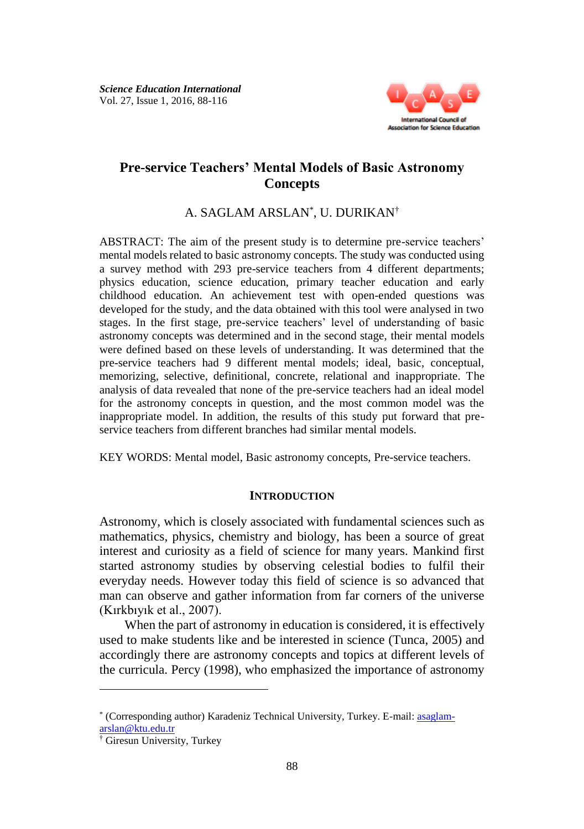

# **Pre-service Teachers' Mental Models of Basic Astronomy Concepts**

A. SAGLAM ARSLAN\* , U. DURIKAN†

ABSTRACT: The aim of the present study is to determine pre-service teachers' mental models related to basic astronomy concepts. The study was conducted using a survey method with 293 pre-service teachers from 4 different departments; physics education, science education, primary teacher education and early childhood education. An achievement test with open-ended questions was developed for the study, and the data obtained with this tool were analysed in two stages. In the first stage, pre-service teachers' level of understanding of basic astronomy concepts was determined and in the second stage, their mental models were defined based on these levels of understanding. It was determined that the pre-service teachers had 9 different mental models; ideal, basic, conceptual, memorizing, selective, definitional, concrete, relational and inappropriate. The analysis of data revealed that none of the pre-service teachers had an ideal model for the astronomy concepts in question, and the most common model was the inappropriate model. In addition, the results of this study put forward that preservice teachers from different branches had similar mental models.

KEY WORDS: Mental model, Basic astronomy concepts, Pre-service teachers.

## **INTRODUCTION**

Astronomy, which is closely associated with fundamental sciences such as mathematics, physics, chemistry and biology, has been a source of great interest and curiosity as a field of science for many years. Mankind first started astronomy studies by observing celestial bodies to fulfil their everyday needs. However today this field of science is so advanced that man can observe and gather information from far corners of the universe (Kırkbıyık et al., 2007).

When the part of astronomy in education is considered, it is effectively used to make students like and be interested in science (Tunca, 2005) and accordingly there are astronomy concepts and topics at different levels of the curricula. Percy (1998), who emphasized the importance of astronomy

 $\overline{a}$ 

<sup>\*</sup> (Corresponding author) Karadeniz Technical University, Turkey. E-mail[: asaglam](mailto:asaglam-arslan@ktu.edu.tr)[arslan@ktu.edu.tr](mailto:asaglam-arslan@ktu.edu.tr)

<sup>†</sup> Giresun University, Turkey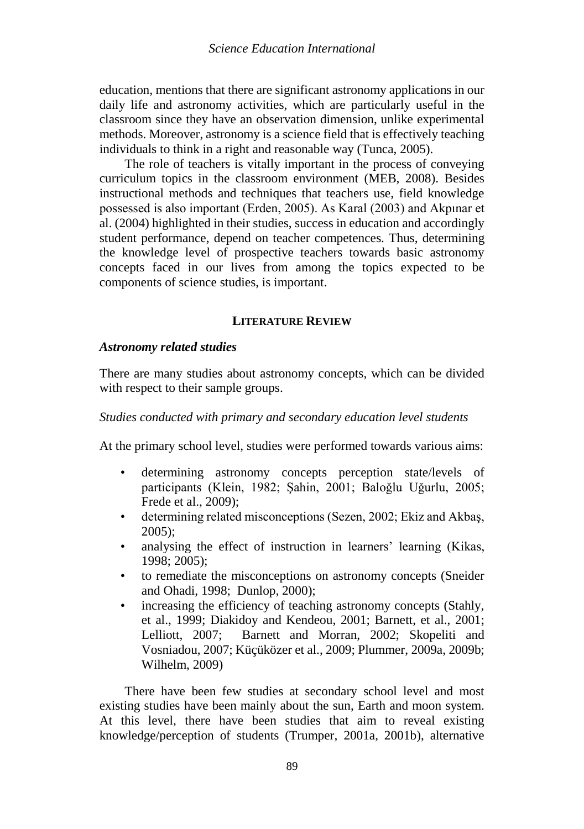education, mentions that there are significant astronomy applications in our daily life and astronomy activities, which are particularly useful in the classroom since they have an observation dimension, unlike experimental methods. Moreover, astronomy is a science field that is effectively teaching individuals to think in a right and reasonable way (Tunca, 2005).

The role of teachers is vitally important in the process of conveying curriculum topics in the classroom environment (MEB, 2008). Besides instructional methods and techniques that teachers use, field knowledge possessed is also important (Erden, 2005). As Karal (2003) and Akpınar et al. (2004) highlighted in their studies, success in education and accordingly student performance, depend on teacher competences. Thus, determining the knowledge level of prospective teachers towards basic astronomy concepts faced in our lives from among the topics expected to be components of science studies, is important.

### **LITERATURE REVIEW**

## *Astronomy related studies*

There are many studies about astronomy concepts, which can be divided with respect to their sample groups.

## *Studies conducted with primary and secondary education level students*

At the primary school level, studies were performed towards various aims:

- determining astronomy concepts perception state/levels of participants (Klein, 1982; Şahin, 2001; Baloğlu Uğurlu, 2005; Frede et al., 2009);
- determining related misconceptions (Sezen, 2002; Ekiz and Akbaş, 2005);
- analysing the effect of instruction in learners' learning (Kikas, 1998; 2005);
- to remediate the misconceptions on astronomy concepts (Sneider and Ohadi, 1998; Dunlop, 2000);
- increasing the efficiency of teaching astronomy concepts (Stahly, et al., 1999; Diakidoy and Kendeou, 2001; Barnett, et al., 2001; Lelliott, 2007; Barnett and Morran, 2002; Skopeliti and Vosniadou, 2007; Küçüközer et al., 2009; Plummer, 2009a, 2009b; Wilhelm, 2009)

There have been few studies at secondary school level and most existing studies have been mainly about the sun, Earth and moon system. At this level, there have been studies that aim to reveal existing knowledge/perception of students (Trumper, 2001a, 2001b), alternative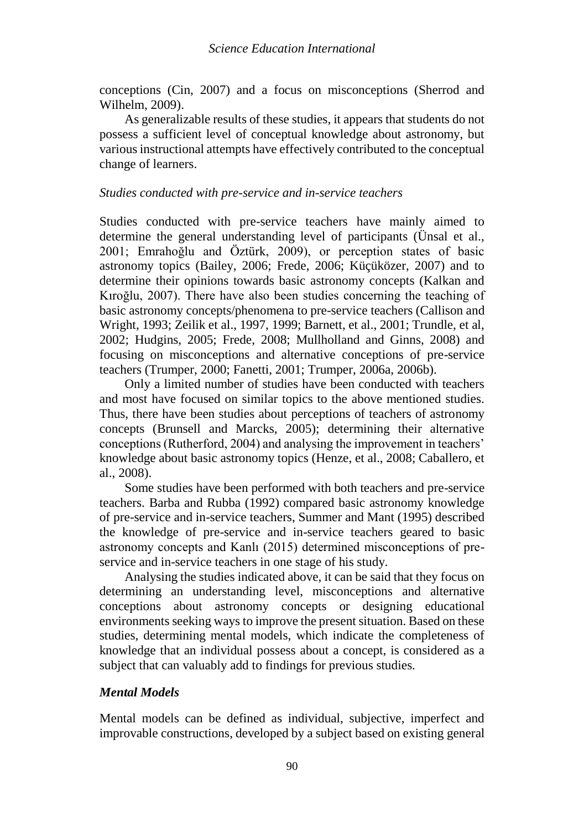conceptions (Cin, 2007) and a focus on misconceptions (Sherrod and Wilhelm, 2009).

As generalizable results of these studies, it appears that students do not possess a sufficient level of conceptual knowledge about astronomy, but various instructional attempts have effectively contributed to the conceptual change of learners.

## *Studies conducted with pre-service and in-service teachers*

Studies conducted with pre-service teachers have mainly aimed to determine the general understanding level of participants (Ünsal et al., 2001; Emrahoğlu and Öztürk, 2009), or perception states of basic astronomy topics (Bailey, 2006; Frede, 2006; Küçüközer, 2007) and to determine their opinions towards basic astronomy concepts (Kalkan and Kıroğlu, 2007). There have also been studies concerning the teaching of basic astronomy concepts/phenomena to pre-service teachers (Callison and Wright, 1993; Zeilik et al., 1997, 1999; Barnett, et al., 2001; Trundle, et al, 2002; Hudgins, 2005; Frede, 2008; Mullholland and Ginns, 2008) and focusing on misconceptions and alternative conceptions of pre-service teachers (Trumper, 2000; Fanetti, 2001; Trumper, 2006a, 2006b).

Only a limited number of studies have been conducted with teachers and most have focused on similar topics to the above mentioned studies. Thus, there have been studies about perceptions of teachers of astronomy concepts (Brunsell and Marcks, 2005); determining their alternative conceptions (Rutherford, 2004) and analysing the improvement in teachers' knowledge about basic astronomy topics (Henze, et al., 2008; Caballero, et al., 2008).

Some studies have been performed with both teachers and pre-service teachers. Barba and Rubba (1992) compared basic astronomy knowledge of pre-service and in-service teachers, Summer and Mant (1995) described the knowledge of pre-service and in-service teachers geared to basic astronomy concepts and Kanlı (2015) determined misconceptions of preservice and in-service teachers in one stage of his study.

Analysing the studies indicated above, it can be said that they focus on determining an understanding level, misconceptions and alternative conceptions about astronomy concepts or designing educational environments seeking ways to improve the present situation. Based on these studies, determining mental models, which indicate the completeness of knowledge that an individual possess about a concept, is considered as a subject that can valuably add to findings for previous studies.

# *Mental Models*

Mental models can be defined as individual, subjective, imperfect and improvable constructions, developed by a subject based on existing general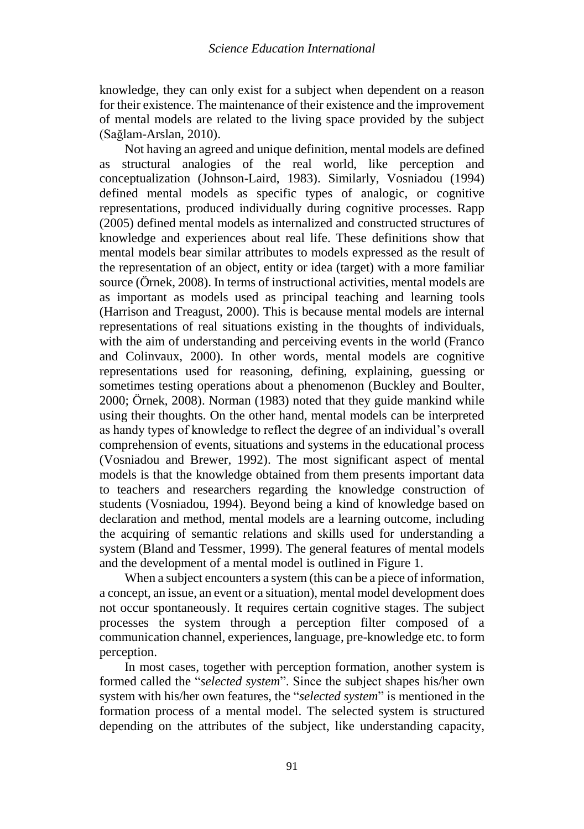knowledge, they can only exist for a subject when dependent on a reason for their existence. The maintenance of their existence and the improvement of mental models are related to the living space provided by the subject (Sağlam-Arslan, 2010).

Not having an agreed and unique definition, mental models are defined as structural analogies of the real world, like perception and conceptualization (Johnson-Laird, 1983). Similarly, Vosniadou (1994) defined mental models as specific types of analogic, or cognitive representations, produced individually during cognitive processes. Rapp (2005) defined mental models as internalized and constructed structures of knowledge and experiences about real life. These definitions show that mental models bear similar attributes to models expressed as the result of the representation of an object, entity or idea (target) with a more familiar source (Örnek, 2008). In terms of instructional activities, mental models are as important as models used as principal teaching and learning tools (Harrison and Treagust, 2000). This is because mental models are internal representations of real situations existing in the thoughts of individuals, with the aim of understanding and perceiving events in the world (Franco and Colinvaux, 2000). In other words, mental models are cognitive representations used for reasoning, defining, explaining, guessing or sometimes testing operations about a phenomenon (Buckley and Boulter, 2000; Örnek, 2008). Norman (1983) noted that they guide mankind while using their thoughts. On the other hand, mental models can be interpreted as handy types of knowledge to reflect the degree of an individual's overall comprehension of events, situations and systems in the educational process (Vosniadou and Brewer, 1992). The most significant aspect of mental models is that the knowledge obtained from them presents important data to teachers and researchers regarding the knowledge construction of students (Vosniadou, 1994). Beyond being a kind of knowledge based on declaration and method, mental models are a learning outcome, including the acquiring of semantic relations and skills used for understanding a system (Bland and Tessmer, 1999). The general features of mental models and the development of a mental model is outlined in Figure 1.

When a subject encounters a system (this can be a piece of information, a concept, an issue, an event or a situation), mental model development does not occur spontaneously. It requires certain cognitive stages. The subject processes the system through a perception filter composed of a communication channel, experiences, language, pre-knowledge etc. to form perception.

In most cases, together with perception formation, another system is formed called the "*selected system*". Since the subject shapes his/her own system with his/her own features, the "*selected system*" is mentioned in the formation process of a mental model. The selected system is structured depending on the attributes of the subject, like understanding capacity,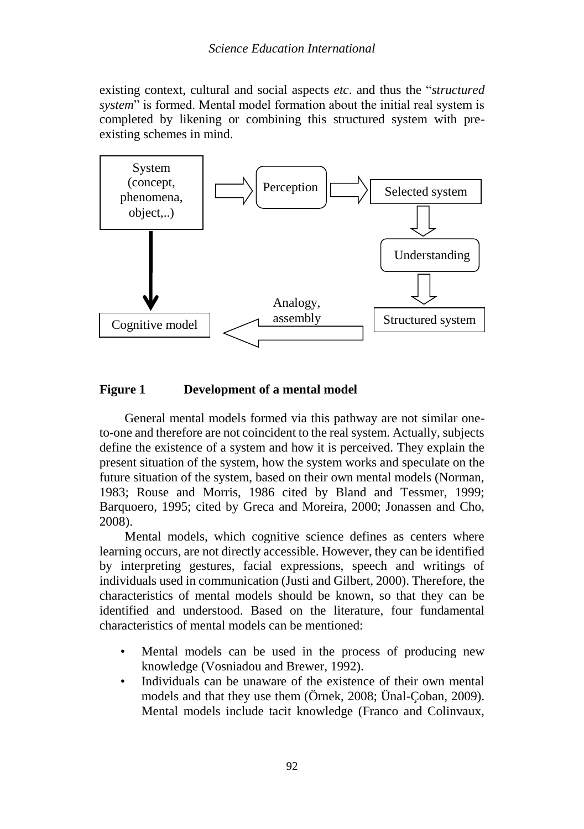existing context, cultural and social aspects *etc*. and thus the "*structured system*" is formed. Mental model formation about the initial real system is completed by likening or combining this structured system with preexisting schemes in mind.



## **Figure 1 Development of a mental model**

General mental models formed via this pathway are not similar oneto-one and therefore are not coincident to the real system. Actually, subjects define the existence of a system and how it is perceived. They explain the present situation of the system, how the system works and speculate on the future situation of the system, based on their own mental models (Norman, 1983; Rouse and Morris, 1986 cited by Bland and Tessmer, 1999; Barquoero, 1995; cited by Greca and Moreira, 2000; Jonassen and Cho, 2008).

Mental models, which cognitive science defines as centers where learning occurs, are not directly accessible. However, they can be identified by interpreting gestures, facial expressions, speech and writings of individuals used in communication (Justi and Gilbert, 2000). Therefore, the characteristics of mental models should be known, so that they can be identified and understood. Based on the literature, four fundamental characteristics of mental models can be mentioned:

- Mental models can be used in the process of producing new knowledge (Vosniadou and Brewer, 1992).
- Individuals can be unaware of the existence of their own mental models and that they use them (Örnek, 2008; Ünal-Çoban, 2009). Mental models include tacit knowledge (Franco and Colinvaux,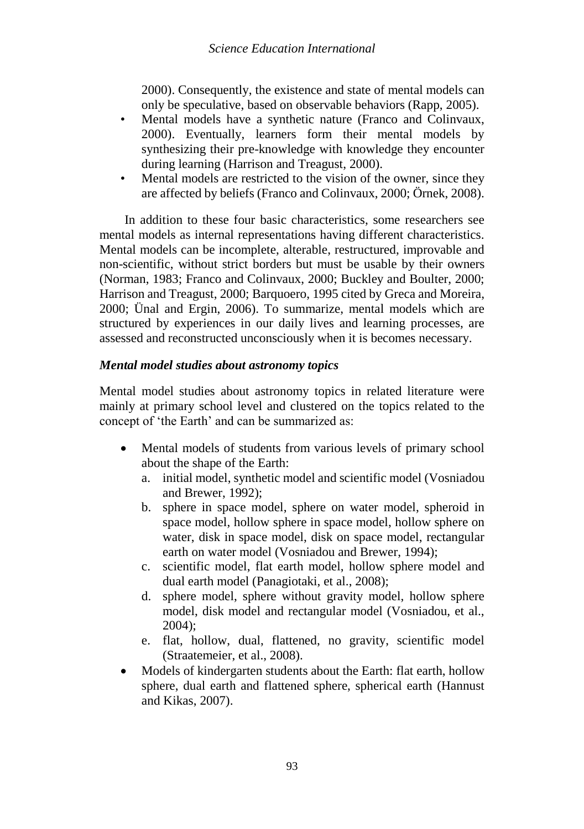2000). Consequently, the existence and state of mental models can only be speculative, based on observable behaviors (Rapp, 2005).

- Mental models have a synthetic nature (Franco and Colinvaux, 2000). Eventually, learners form their mental models by synthesizing their pre-knowledge with knowledge they encounter during learning (Harrison and Treagust, 2000).
- Mental models are restricted to the vision of the owner, since they are affected by beliefs (Franco and Colinvaux, 2000; Örnek, 2008).

In addition to these four basic characteristics, some researchers see mental models as internal representations having different characteristics. Mental models can be incomplete, alterable, restructured, improvable and non-scientific, without strict borders but must be usable by their owners (Norman, 1983; Franco and Colinvaux, 2000; Buckley and Boulter, 2000; Harrison and Treagust, 2000; Barquoero, 1995 cited by Greca and Moreira, 2000; Ünal and Ergin, 2006). To summarize, mental models which are structured by experiences in our daily lives and learning processes, are assessed and reconstructed unconsciously when it is becomes necessary.

# *Mental model studies about astronomy topics*

Mental model studies about astronomy topics in related literature were mainly at primary school level and clustered on the topics related to the concept of 'the Earth' and can be summarized as:

- Mental models of students from various levels of primary school about the shape of the Earth:
	- a. initial model, synthetic model and scientific model (Vosniadou and Brewer, 1992);
	- b. sphere in space model, sphere on water model, spheroid in space model, hollow sphere in space model, hollow sphere on water, disk in space model, disk on space model, rectangular earth on water model (Vosniadou and Brewer, 1994);
	- c. scientific model, flat earth model, hollow sphere model and dual earth model (Panagiotaki, et al., 2008);
	- d. sphere model, sphere without gravity model, hollow sphere model, disk model and rectangular model (Vosniadou, et al., 2004);
	- e. flat, hollow, dual, flattened, no gravity, scientific model (Straatemeier, et al., 2008).
- Models of kindergarten students about the Earth: flat earth, hollow sphere, dual earth and flattened sphere, spherical earth (Hannust and Kikas, 2007).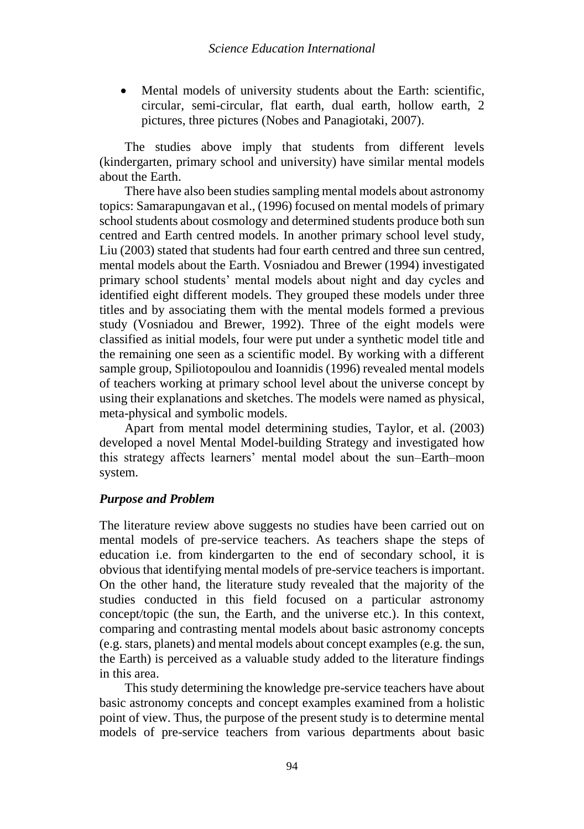Mental models of university students about the Earth: scientific, circular, semi-circular, flat earth, dual earth, hollow earth, 2 pictures, three pictures (Nobes and Panagiotaki, 2007).

The studies above imply that students from different levels (kindergarten, primary school and university) have similar mental models about the Earth.

There have also been studies sampling mental models about astronomy topics: Samarapungavan et al., (1996) focused on mental models of primary school students about cosmology and determined students produce both sun centred and Earth centred models. In another primary school level study, Liu (2003) stated that students had four earth centred and three sun centred, mental models about the Earth. Vosniadou and Brewer (1994) investigated primary school students' mental models about night and day cycles and identified eight different models. They grouped these models under three titles and by associating them with the mental models formed a previous study (Vosniadou and Brewer, 1992). Three of the eight models were classified as initial models, four were put under a synthetic model title and the remaining one seen as a scientific model. By working with a different sample group, Spiliotopoulou and Ioannidis (1996) revealed mental models of teachers working at primary school level about the universe concept by using their explanations and sketches. The models were named as physical, meta-physical and symbolic models.

Apart from mental model determining studies, Taylor, et al. (2003) developed a novel Mental Model-building Strategy and investigated how this strategy affects learners' mental model about the sun–Earth–moon system.

## *Purpose and Problem*

The literature review above suggests no studies have been carried out on mental models of pre-service teachers. As teachers shape the steps of education i.e. from kindergarten to the end of secondary school, it is obvious that identifying mental models of pre-service teachers is important. On the other hand, the literature study revealed that the majority of the studies conducted in this field focused on a particular astronomy concept/topic (the sun, the Earth, and the universe etc.). In this context, comparing and contrasting mental models about basic astronomy concepts (e.g. stars, planets) and mental models about concept examples (e.g. the sun, the Earth) is perceived as a valuable study added to the literature findings in this area.

This study determining the knowledge pre-service teachers have about basic astronomy concepts and concept examples examined from a holistic point of view. Thus, the purpose of the present study is to determine mental models of pre-service teachers from various departments about basic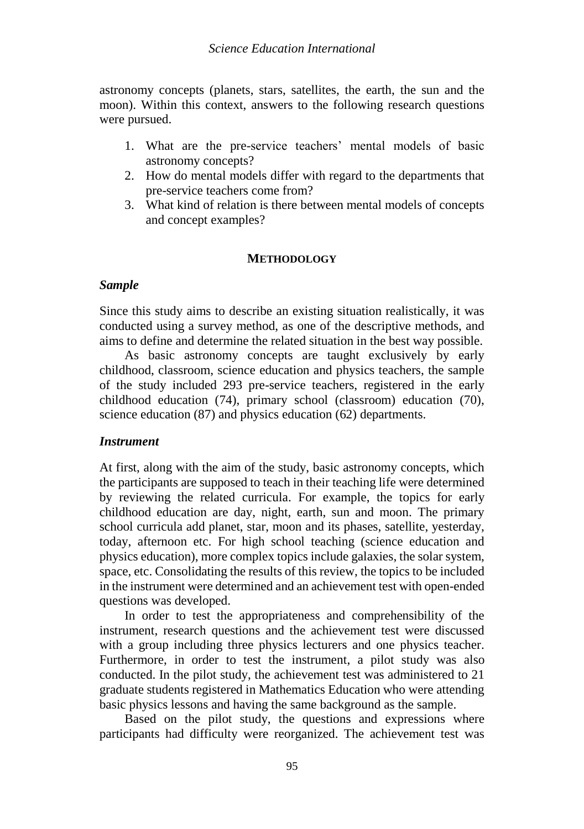astronomy concepts (planets, stars, satellites, the earth, the sun and the moon). Within this context, answers to the following research questions were pursued.

- 1. What are the pre-service teachers' mental models of basic astronomy concepts?
- 2. How do mental models differ with regard to the departments that pre-service teachers come from?
- 3. What kind of relation is there between mental models of concepts and concept examples?

## **METHODOLOGY**

## *Sample*

Since this study aims to describe an existing situation realistically, it was conducted using a survey method, as one of the descriptive methods, and aims to define and determine the related situation in the best way possible.

As basic astronomy concepts are taught exclusively by early childhood, classroom, science education and physics teachers, the sample of the study included 293 pre-service teachers, registered in the early childhood education (74), primary school (classroom) education (70), science education (87) and physics education (62) departments.

## *Instrument*

At first, along with the aim of the study, basic astronomy concepts, which the participants are supposed to teach in their teaching life were determined by reviewing the related curricula. For example, the topics for early childhood education are day, night, earth, sun and moon. The primary school curricula add planet, star, moon and its phases, satellite, yesterday, today, afternoon etc. For high school teaching (science education and physics education), more complex topics include galaxies, the solar system, space, etc. Consolidating the results of this review, the topics to be included in the instrument were determined and an achievement test with open-ended questions was developed.

In order to test the appropriateness and comprehensibility of the instrument, research questions and the achievement test were discussed with a group including three physics lecturers and one physics teacher. Furthermore, in order to test the instrument, a pilot study was also conducted. In the pilot study, the achievement test was administered to 21 graduate students registered in Mathematics Education who were attending basic physics lessons and having the same background as the sample.

Based on the pilot study, the questions and expressions where participants had difficulty were reorganized. The achievement test was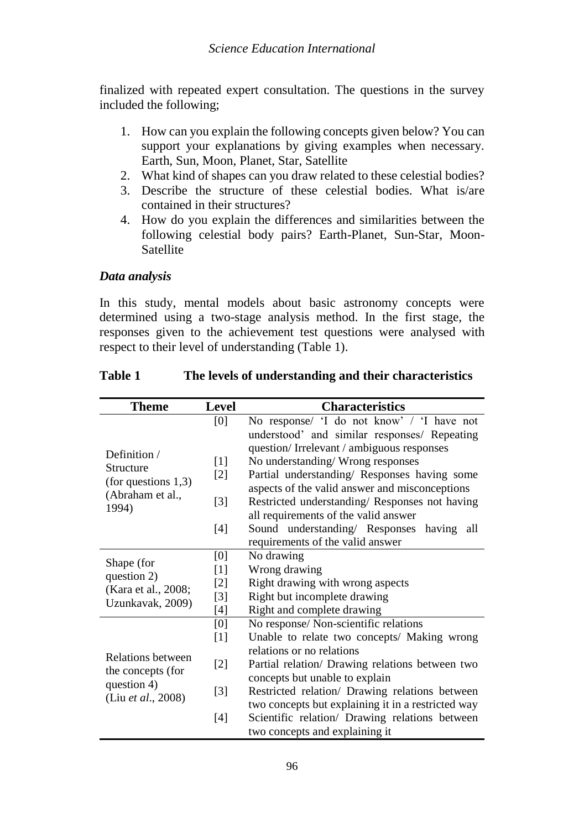finalized with repeated expert consultation. The questions in the survey included the following;

- 1. How can you explain the following concepts given below? You can support your explanations by giving examples when necessary. Earth, Sun, Moon, Planet, Star, Satellite
- 2. What kind of shapes can you draw related to these celestial bodies?
- 3. Describe the structure of these celestial bodies. What is/are contained in their structures?
- 4. How do you explain the differences and similarities between the following celestial body pairs? Earth-Planet, Sun-Star, Moon-Satellite

# *Data analysis*

In this study, mental models about basic astronomy concepts were determined using a two-stage analysis method. In the first stage, the responses given to the achievement test questions were analysed with respect to their level of understanding (Table 1).

| <b>Theme</b>              | <b>Level</b>      | <b>Characteristics</b>                                                                         |  |  |  |  |  |
|---------------------------|-------------------|------------------------------------------------------------------------------------------------|--|--|--|--|--|
|                           | [0]               | No response/ 'I do not know' / 'I have not                                                     |  |  |  |  |  |
|                           |                   | understood' and similar responses/ Repeating                                                   |  |  |  |  |  |
| Definition /              |                   | question/Irrelevant/ambiguous responses                                                        |  |  |  |  |  |
| Structure                 | [1]               | No understanding/Wrong responses                                                               |  |  |  |  |  |
| (for questions $1,3$ )    | $[2]$             | Partial understanding/ Responses having some<br>aspects of the valid answer and misconceptions |  |  |  |  |  |
| (Abraham et al.,          | $\lceil 3 \rceil$ | Restricted understanding/ Responses not having                                                 |  |  |  |  |  |
| 1994)                     |                   | all requirements of the valid answer                                                           |  |  |  |  |  |
|                           | [4]               | Sound understanding/ Responses having<br>all                                                   |  |  |  |  |  |
|                           |                   | requirements of the valid answer                                                               |  |  |  |  |  |
|                           | [0]               | No drawing                                                                                     |  |  |  |  |  |
| Shape (for<br>question 2) | $[1]$             | Wrong drawing                                                                                  |  |  |  |  |  |
| (Kara et al., 2008;       | $[2]$             | Right drawing with wrong aspects                                                               |  |  |  |  |  |
| Uzunkavak, 2009)          | $[3]$             | Right but incomplete drawing                                                                   |  |  |  |  |  |
|                           | [4]               | Right and complete drawing                                                                     |  |  |  |  |  |
|                           | [0]               | No response/ Non-scientific relations                                                          |  |  |  |  |  |
|                           | $[1]$             | Unable to relate two concepts/ Making wrong                                                    |  |  |  |  |  |
| Relations between         |                   | relations or no relations                                                                      |  |  |  |  |  |
| the concepts (for         | $[2]$             | Partial relation/ Drawing relations between two                                                |  |  |  |  |  |
| question 4)               |                   | concepts but unable to explain                                                                 |  |  |  |  |  |
| (Liu et al., 2008)        | [3]               | Restricted relation/ Drawing relations between                                                 |  |  |  |  |  |
|                           |                   | two concepts but explaining it in a restricted way                                             |  |  |  |  |  |
|                           | $[4]$             | Scientific relation/ Drawing relations between                                                 |  |  |  |  |  |
|                           |                   | two concepts and explaining it                                                                 |  |  |  |  |  |

## **Table 1 The levels of understanding and their characteristics**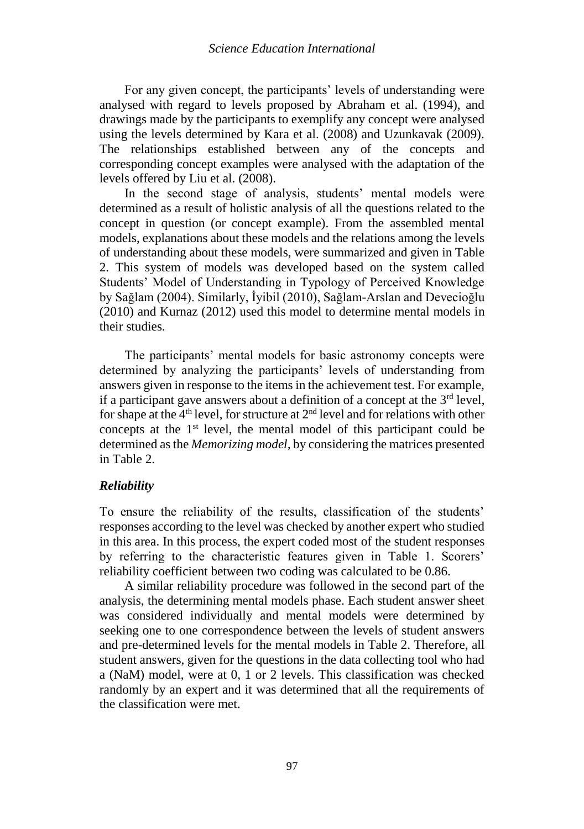For any given concept, the participants' levels of understanding were analysed with regard to levels proposed by Abraham et al. (1994), and drawings made by the participants to exemplify any concept were analysed using the levels determined by Kara et al. (2008) and Uzunkavak (2009). The relationships established between any of the concepts and corresponding concept examples were analysed with the adaptation of the levels offered by Liu et al. (2008).

In the second stage of analysis, students' mental models were determined as a result of holistic analysis of all the questions related to the concept in question (or concept example). From the assembled mental models, explanations about these models and the relations among the levels of understanding about these models, were summarized and given in Table 2. This system of models was developed based on the system called Students' Model of Understanding in Typology of Perceived Knowledge by Sağlam (2004). Similarly, İyibil (2010), Sağlam-Arslan and Devecioğlu (2010) and Kurnaz (2012) used this model to determine mental models in their studies.

The participants' mental models for basic astronomy concepts were determined by analyzing the participants' levels of understanding from answers given in response to the items in the achievement test. For example, if a participant gave answers about a definition of a concept at the  $3<sup>rd</sup>$  level, for shape at the  $4<sup>th</sup>$  level, for structure at  $2<sup>nd</sup>$  level and for relations with other concepts at the 1st level, the mental model of this participant could be determined as the *Memorizing model,* by considering the matrices presented in Table 2.

## *Reliability*

To ensure the reliability of the results, classification of the students' responses according to the level was checked by another expert who studied in this area. In this process, the expert coded most of the student responses by referring to the characteristic features given in Table 1. Scorers' reliability coefficient between two coding was calculated to be 0.86.

A similar reliability procedure was followed in the second part of the analysis, the determining mental models phase. Each student answer sheet was considered individually and mental models were determined by seeking one to one correspondence between the levels of student answers and pre-determined levels for the mental models in Table 2. Therefore, all student answers, given for the questions in the data collecting tool who had a (NaM) model, were at 0, 1 or 2 levels. This classification was checked randomly by an expert and it was determined that all the requirements of the classification were met.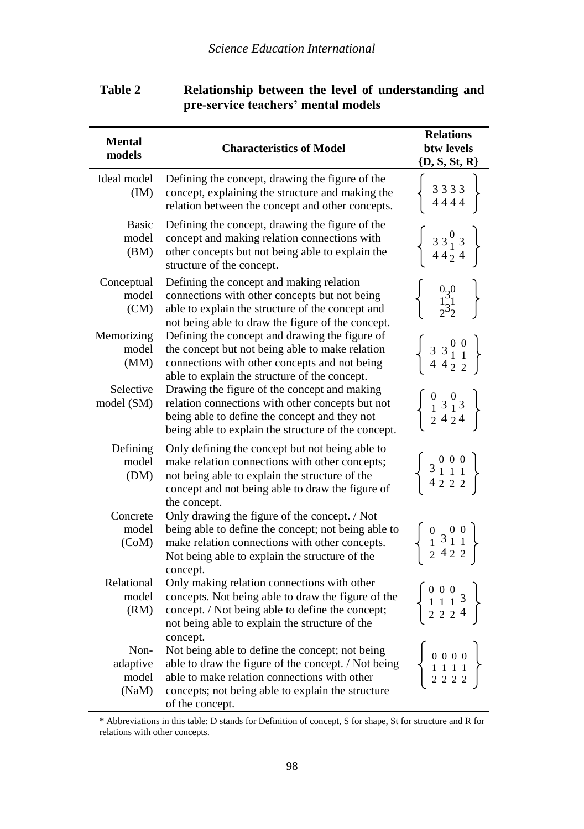| <b>Mental</b><br>models            | <b>Characteristics of Model</b>                                                                                                                                                                                                            | <b>Relations</b><br>btw levels<br>$\{D, S, St, R\}$                                                                      |
|------------------------------------|--------------------------------------------------------------------------------------------------------------------------------------------------------------------------------------------------------------------------------------------|--------------------------------------------------------------------------------------------------------------------------|
| Ideal model<br>(IM)                | Defining the concept, drawing the figure of the<br>concept, explaining the structure and making the<br>relation between the concept and other concepts.                                                                                    | 3333<br>4444                                                                                                             |
| <b>Basic</b><br>model<br>(BM)      | Defining the concept, drawing the figure of the<br>concept and making relation connections with<br>other concepts but not being able to explain the<br>structure of the concept.                                                           | $\frac{331}{44}$<br>4424                                                                                                 |
| Conceptual<br>model<br>(CM)        | Defining the concept and making relation<br>connections with other concepts but not being<br>able to explain the structure of the concept and<br>not being able to draw the figure of the concept.                                         | $\frac{0.30}{1.31}$<br>$2.32$                                                                                            |
| Memorizing<br>model<br>(MM)        | Defining the concept and drawing the figure of<br>the concept but not being able to make relation<br>connections with other concepts and not being<br>able to explain the structure of the concept.                                        | $33^{00}_{11}$<br>4 4 2 2                                                                                                |
| Selective<br>model (SM)            | Drawing the figure of the concept and making<br>relation connections with other concepts but not<br>being able to define the concept and they not<br>being able to explain the structure of the concept.                                   | $\begin{smallmatrix} 0&0\\1&3&1&3\\ 2&4&2&4 \end{smallmatrix}$                                                           |
| Defining<br>model<br>(DM)          | Only defining the concept but not being able to<br>make relation connections with other concepts;<br>not being able to explain the structure of the<br>concept and not being able to draw the figure of<br>the concept.                    | $\begin{array}{c c c c c c} & 0 & 0 & 0 \\ 3 & 1 & 1 & 1 \\ 4 & 2 & 2 & 2 \end{array}$                                   |
| Concrete<br>model<br>(CoM)         | Only drawing the figure of the concept. / Not<br>being able to define the concept; not being able to<br>make relation connections with other concepts.<br>Not being able to explain the structure of the<br>concept.                       | $\begin{smallmatrix} 0 & 0 & 0 \\ 1 & 3 & 1 & 1 \\ 2 & 4 & 2 & 2 \end{smallmatrix}$                                      |
| Relational<br>model<br>(RM)        | Only making relation connections with other<br>concepts. Not being able to draw the figure of the<br>concept. / Not being able to define the concept;<br>not being able to explain the structure of the                                    | $\begin{smallmatrix} 0 & 0 & 0 \\ 1 & 1 & 1 \\ 2 & 2 & 2 \end{smallmatrix} \begin{smallmatrix} 3 \\ 4 \end{smallmatrix}$ |
| Non-<br>adaptive<br>model<br>(NaM) | concept.<br>Not being able to define the concept; not being<br>able to draw the figure of the concept. / Not being<br>able to make relation connections with other<br>concepts; not being able to explain the structure<br>of the concept. | $0\ 0\ 0\ 0$                                                                                                             |

# **Table 2 Relationship between the level of understanding and pre-service teachers' mental models**

<sup>\*</sup> Abbreviations in this table: D stands for Definition of concept, S for shape, St for structure and R for relations with other concepts.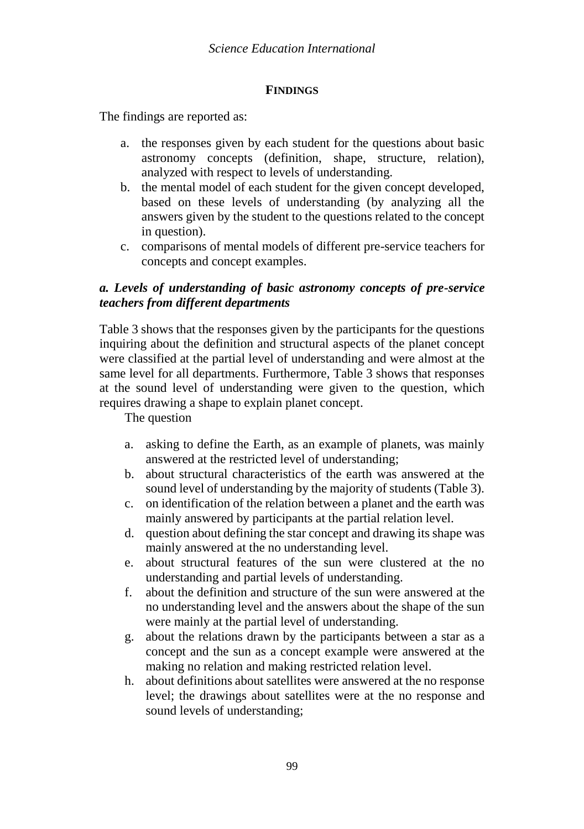## **FINDINGS**

The findings are reported as:

- a. the responses given by each student for the questions about basic astronomy concepts (definition, shape, structure, relation), analyzed with respect to levels of understanding.
- b. the mental model of each student for the given concept developed, based on these levels of understanding (by analyzing all the answers given by the student to the questions related to the concept in question).
- c. comparisons of mental models of different pre-service teachers for concepts and concept examples.

# *a. Levels of understanding of basic astronomy concepts of pre-service teachers from different departments*

Table 3 shows that the responses given by the participants for the questions inquiring about the definition and structural aspects of the planet concept were classified at the partial level of understanding and were almost at the same level for all departments. Furthermore, Table 3 shows that responses at the sound level of understanding were given to the question, which requires drawing a shape to explain planet concept.

The question

- a. asking to define the Earth, as an example of planets, was mainly answered at the restricted level of understanding;
- b. about structural characteristics of the earth was answered at the sound level of understanding by the majority of students (Table 3).
- c. on identification of the relation between a planet and the earth was mainly answered by participants at the partial relation level.
- d. question about defining the star concept and drawing its shape was mainly answered at the no understanding level.
- e. about structural features of the sun were clustered at the no understanding and partial levels of understanding.
- f. about the definition and structure of the sun were answered at the no understanding level and the answers about the shape of the sun were mainly at the partial level of understanding.
- g. about the relations drawn by the participants between a star as a concept and the sun as a concept example were answered at the making no relation and making restricted relation level.
- h. about definitions about satellites were answered at the no response level; the drawings about satellites were at the no response and sound levels of understanding;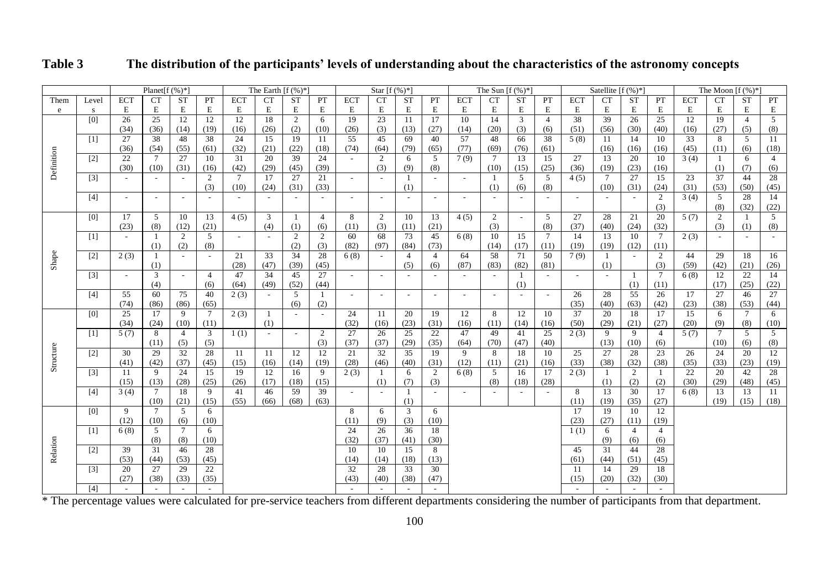|            |       |            | Planet[ $f$ (%)*] |                 |                 |                 | The Earth $[f (\%)^*]$ |                          |                |                 | Star $[f(%)^*]$ |                          |                |            | The Sun $[f(%)^*]$ |           |                 |            | Satellite $[f(\%)^*]$ |                |                 |            | The Moon $[f(\%)]^*$ |                 |                |
|------------|-------|------------|-------------------|-----------------|-----------------|-----------------|------------------------|--------------------------|----------------|-----------------|-----------------|--------------------------|----------------|------------|--------------------|-----------|-----------------|------------|-----------------------|----------------|-----------------|------------|----------------------|-----------------|----------------|
| Them       | Level | <b>ECT</b> | <b>CT</b>         | <b>ST</b>       | PT              | <b>ECT</b>      | <b>CT</b>              | <b>ST</b>                | PT             | <b>ECT</b>      | <b>CT</b>       | <b>ST</b>                | PT             | <b>ECT</b> | <b>CT</b>          | <b>ST</b> | PT              | <b>ECT</b> | <b>CT</b>             | <b>ST</b>      | PT              | <b>ECT</b> | <b>CT</b>            | <b>ST</b>       | PT             |
| ${\rm e}$  | s     | E          | E                 | E               | E               | E               | E                      | E                        | E              | E               | E               | E                        | E              | E          | E                  | E         | E               | E          | E                     | E              | E               | E          | E                    | E               | E              |
|            | [0]   | 26         | 25                | 12              | 12              | 12              | 18                     | $\overline{c}$           | 6              | 19              | 23              | 11                       | 17             | 10         | 14                 | 3         | $\overline{4}$  | 38         | 39                    | 26             | 25              | 12         | 19                   | $\overline{4}$  | $\overline{5}$ |
|            |       | (34)       | (36)              | (14)            | (19)            | (16)            | (26)                   | (2)                      | (10)           | (26)            | (3)             | (13)                     | (27)           | (14)       | (20)               | (3)       | (6)             | (51)       | (56)                  | (30)           | (40)            | (16)       | (27)                 | (5)             | (8)            |
|            | [1]   | 27         | 38                | 48              | 38              | 24              | $\overline{15}$        | 19                       | 11             | $\overline{55}$ | 45              | 69                       | 40             | 57         | 48                 | 66        | 38              | 5(8)       | -11                   | 14             | 10              | 33         | -8                   | 5               | 11             |
|            |       | (36)       | (54)              | (55)            | (61)            | (32)            | (21)                   | (22)                     | (18)           | (74)            | (64)            | (79)                     | (65)           | (77)       | (69)               | (76)      | (61)            |            | (16)                  | (16)           | (16)            | (45)       | (11)                 | (6)             | (18)           |
|            | $[2]$ | 22         | $7\phantom{.0}$   | 27              | 10              | 31              | 20                     | 39                       | 24             |                 | $\overline{2}$  | 6                        | 5              | 7(9)       | 7                  | 13        | 15              | 27         | 13                    | 20             | 10              | 3(4)       | -1                   | 6               | $\overline{4}$ |
| Definition |       | (30)       | (10)              | (31)            | (16)            | (42)            | (29)                   | (45)                     | (39)           |                 | (3)             | (9)                      | (8)            |            | (10)               | (15)      | (25)            | (36)       | (19)                  | (23)           | (16)            |            | (1)                  | (7)             | (6)            |
|            | $[3]$ |            |                   |                 | 2               | $7\phantom{.0}$ | 17                     | 27                       | 21             | $\sim$          | $\sim$          | -1                       |                | $\sim$     | -1                 | 5         | 5               | 4(5)       | 7                     | 27             | 15              | 23         | 37                   | 44              | 28             |
|            |       |            |                   |                 | (3)             | (10)            | (24)                   | (31)                     | (33)           |                 |                 | (1)                      |                |            | (1)                | (6)       | (8)             |            | (10)                  | (31)           | (24)            | (31)       | (53)                 | (50)            | (45)           |
|            | $[4]$ | $\sim$     | $\sim$            | $\sim$          | $\sim$          | $\sim$          |                        | $\overline{\phantom{a}}$ | $\sim$         | $\sim$          | $\sim$          | $\sim$                   | $\sim$         | $\sim$     | $\sim$             | $\sim$    | $\sim$          | $\sim$     |                       | $\sim$         | 2               | 3(4)       | 5                    | 28              | 14             |
|            |       |            |                   |                 |                 |                 |                        |                          |                |                 |                 |                          |                |            |                    |           |                 |            |                       |                | (3)             |            | (8)                  | (32)            | (22)           |
|            | [0]   | 17         | 5                 | 10              | 13              | 4(5)            | 3                      | -1                       | $\overline{4}$ | 8               | $\overline{2}$  | 10                       | 13             | 4(5)       | $\overline{c}$     | $\sim$    | 5               | 27         | 28                    | 21             | 20              | 5(7)       | $\overline{2}$       |                 | 5              |
|            |       | (23)       | (8)               | (12)            | (21)            |                 | (4)                    | (1)                      | (6)            | (11)            | (3)             | (11)                     | (21)           |            | (3)                |           | (8)             | (37)       | (40)                  | (24)           | (32)            |            | (3)                  | (1)             | (8)            |
|            | [1]   | $\sim$     | -1                | 2               | 5               | $\sim$          | $\sim$                 | 2                        | 2              | 60              | 68              | 73                       | 45             | 6(8)       | 10                 | 15        | $7\phantom{.0}$ | 14         | 13                    | 10             | $7\overline{ }$ | 2(3)       | $\sim$               |                 |                |
|            |       |            | (1)               | (2)             | (8)             |                 |                        | (2)                      | (3)            | (82)            | (97)            | (84)                     | (73)           |            | (14)               | (17)      | (11)            | (19)       | (19)                  | (12)           | (11)            |            |                      |                 |                |
| Shape      | $[2]$ | 2(3)       | -1                | $\sim$          | $\sim$          | 21              | 33                     | 34                       | 28             | 6(8)            |                 | $\overline{4}$           | $\overline{4}$ | 64         | 58                 | 71        | 50              | 7(9)       |                       |                | $\overline{2}$  | 44         | 29                   | 18              | 16             |
|            |       |            | (1)               |                 |                 | (28)            | (47)                   | (39)                     | (45)           |                 |                 | (5)                      | (6)            | (87)       | (83)               | (82)      | (81)            |            | (1)                   |                | (3)             | (59)       | (42)                 | (21)            | (26)           |
|            | $[3]$ | $\sim$     | 3                 | $\sim$          | $\overline{4}$  | 47              | $\overline{34}$        | 45                       | 27             | $\sim$          | $\sim$          |                          |                |            |                    |           |                 | $\sim$     |                       | -1             | $7\phantom{.0}$ | 6(8)       | 12                   | 22              | 14             |
|            |       |            | (4)               |                 | (6)             | (64)            | (49)                   | (52)                     | (44)           |                 |                 |                          |                |            |                    | (1)       |                 |            |                       | (1)            | (11)            |            | (17)                 | (25)            | (22)           |
|            | [4]   | 55         | 60                | 75              | 40              | 2(3)            |                        | 5                        | 1              | $\sim$          | $\sim$          | $\overline{\phantom{a}}$ | $\sim$         | $\sim$     | $\sim$             | $\sim$    | $\sim$          | 26         | 28                    | 55             | 26              | 17         | 27                   | 46              | 27             |
|            |       | (74)       | (86)              | (86)            | (65)            |                 |                        | (6)                      | (2)            |                 |                 |                          |                |            |                    |           |                 | (35)       | (40)                  | (63)           | (42)            | (23)       | (38)                 | (53)            | (44)           |
|            | [0]   | 25         | 17                | 9               | $7\overline{ }$ | 2(3)            | -1                     | $\overline{\phantom{a}}$ | $\sim$         | 24              | 11              | 20                       | 19             | 12         | 8                  | 12        | 10              | 37         | 20                    | 18             | 17              | 15         | 6                    | $7\phantom{.0}$ | 6              |
|            |       | (34)       | (24)              | (10)            | (11)            |                 | (1)                    |                          |                | (32)            | (16)            | (23)                     | (31)           | (16)       | (11)               | (14)      | (16)            | (50)       | (29)                  | (21)           | (27)            | (20)       | (9)                  | (8)             | (10)           |
|            | [1]   | 5(7)       | 8                 | $\overline{4}$  | 3               | 1(1)            | $\sim$                 | $\sim$                   | 2              | 27              | 26              | 25                       | 22             | 47         | 49                 | 41        | 25              | 2(3)       | 9                     | 9              | $\overline{4}$  | 5(7)       | $7\phantom{.0}$      | 5               | 5              |
|            |       |            | (11)              | (5)             | (5)             |                 |                        |                          | (3)            | (37)            | (37)            | (29)                     | (35)           | (64)       | (70)               | (47)      | (40)            |            | (13)                  | (10)           | (6)             |            | (10)                 | (6)             | (8)            |
| Structure  | $[2]$ | 30         | 29                | 32              | 28              | -11             | -11                    | 12                       | 12             | 21              | 32              | 35                       | 19             | 9          | 8                  | 18        | 10              | 25         | 27                    | 28             | 23              | 26         | 24                   | 20              | 12             |
|            |       | (41)       | (42)              | (37)            | (45)            | (15)            | (16)                   | (14)                     | (19)           | (28)            | (46)            | (40)                     | (31)           | (12)       | (11)               | (21)      | (16)            | (33)       | (38)                  | (32)           | (38)            | (35)       | (33)                 | (23)            | (19)           |
|            | $[3]$ | 11         | 9                 | 24              | 15              | 19              | 12                     | 16                       | 9              | 2(3)            | -1              | 6                        | 2              | 6(8)       | $\overline{5}$     | 16        | 17              | 2(3)       | -1                    | 2              | -1              | 22         | 20                   | 42              | 28             |
|            |       | (15)       | (13)              | (28)            | (25)            | (26)            | (17)                   | (18)                     | (15)           |                 | (1)             | (7)                      | (3)            |            | (8)                | (18)      | (28)            |            | (1)                   | (2)            | (2)             | (30)       | (29)                 | (48)            | (45)           |
|            | $[4]$ | 3(4)       | $7\phantom{.0}$   | 18              | 9               | 41              | 46                     | 59                       | 39             | $\sim$          | $\sim$          | -1                       | $\sim$         | $\sim$     |                    | $\sim$    | ÷               | 8          | 13                    | 30             | 17              | 6(8)       | 13                   | 13              | 11             |
|            |       |            | (10)              | (21)            | (15)            | (55)            | (66)                   | (68)                     | (63)           |                 |                 | (1)                      |                |            |                    |           |                 | (11)       | (19)                  | (35)           | (27)            |            | (19)                 | (15)            | (18)           |
|            | [0]   | 9          | $7\phantom{.0}$   | 5               | 6               |                 |                        |                          |                | 8               | 6               | 3                        | 6              |            |                    |           |                 | 17         | 19                    | 10             | 12              |            |                      |                 |                |
|            |       | (12)       | (10)              | (6)             | (10)            |                 |                        |                          |                | (11)            | (9)             | (3)                      | (10)           |            |                    |           |                 | (23)       | (27)                  | (11)           | (19)            |            |                      |                 |                |
|            | [1]   | 6(8)       | 5                 | $7\overline{ }$ | 6               |                 |                        |                          |                | 24              | 26              | 36                       | 18             |            |                    |           |                 | 1(1)       | 6                     | $\overline{4}$ | $\overline{4}$  |            |                      |                 |                |
|            |       |            | (8)               | (8)             | (10)            |                 |                        |                          |                | (32)            | (37)            | (41)                     | (30)           |            |                    |           |                 |            | (9)                   | (6)            | (6)             |            |                      |                 |                |
| Relation   | $[2]$ | 39         | 31                | 46              | 28              |                 |                        |                          |                | 10              | 10              | 15                       | 8              |            |                    |           |                 | 45         | 31                    | 44             | 28              |            |                      |                 |                |
|            |       | (53)       | (44)              | (53)            | (45)            |                 |                        |                          |                | (14)            | (14)            | (18)                     | (13)           |            |                    |           |                 | (61)       | (44)                  | (51)           | (45)            |            |                      |                 |                |
|            | $[3]$ | 20         | 27                | 29              | 22              |                 |                        |                          |                | 32              | 28              | 33                       | 30             |            |                    |           |                 | 11         | 14                    | 29             | 18              |            |                      |                 |                |
|            |       | (27)       | (38)              | (33)            | (35)            |                 |                        |                          |                | (43)            | (40)            | (38)                     | (47)           |            |                    |           |                 | (15)       | (20)                  | (32)           | (30)            |            |                      |                 |                |
|            | [4]   | $\sim$     | $\sim$            | $\sim$          | $\sim$          |                 |                        |                          |                | $\sim$          | $\sim$          | $\sim$                   |                |            |                    |           |                 | $\sim$     | $\sim$                | $\sim$         | $\sim$          |            |                      |                 |                |

# **Table 3 The distribution of the participants' levels of understanding about the characteristics of the astronomy concepts**

\* The percentage values were calculated for pre-service teachers from different departments considering the number of participants from that department.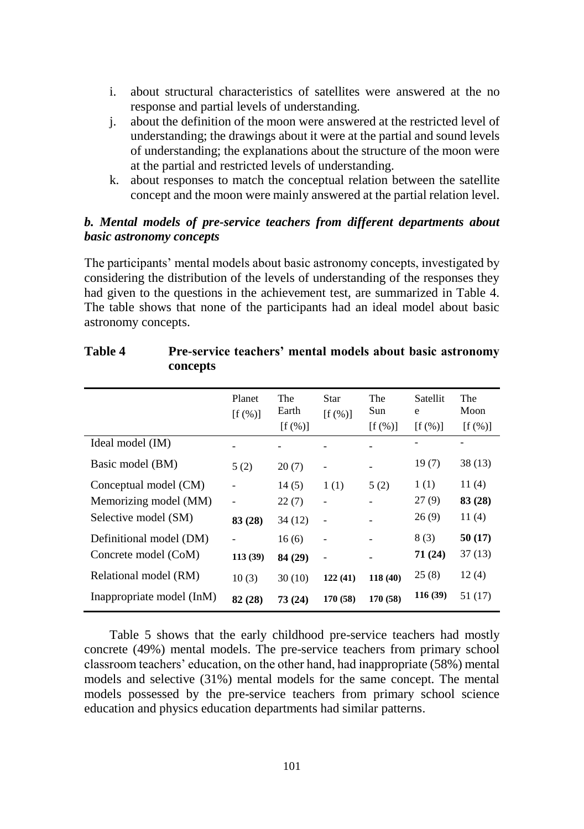- i. about structural characteristics of satellites were answered at the no response and partial levels of understanding.
- j. about the definition of the moon were answered at the restricted level of understanding; the drawings about it were at the partial and sound levels of understanding; the explanations about the structure of the moon were at the partial and restricted levels of understanding.
- k. about responses to match the conceptual relation between the satellite concept and the moon were mainly answered at the partial relation level.

## *b. Mental models of pre-service teachers from different departments about basic astronomy concepts*

The participants' mental models about basic astronomy concepts, investigated by considering the distribution of the levels of understanding of the responses they had given to the questions in the achievement test, are summarized in Table 4. The table shows that none of the participants had an ideal model about basic astronomy concepts.

|                           | Planet<br>$[f(\%)]$ | The<br>Earth<br>$[f(\%)]$ | Star<br>$[f (\%)]$       | The<br>Sun<br>$[f(\%)]$      | Satellit<br>e<br>$[f(\%)]$ | The<br>Moon<br>$[f(\%)]$ |
|---------------------------|---------------------|---------------------------|--------------------------|------------------------------|----------------------------|--------------------------|
| Ideal model (IM)          |                     |                           |                          |                              |                            |                          |
| Basic model (BM)          | 5(2)                | 20(7)                     | $\overline{\phantom{a}}$ | $\qquad \qquad \blacksquare$ | 19(7)                      | 38 (13)                  |
| Conceptual model (CM)     |                     | 14(5)                     | 1(1)                     | 5(2)                         | 1(1)                       | 11(4)                    |
| Memorizing model (MM)     |                     | 22(7)                     | $\overline{\phantom{0}}$ |                              | 27(9)                      | 83 (28)                  |
| Selective model (SM)      | 83 (28)             | 34(12)                    | $\overline{a}$           |                              | 26(9)                      | 11(4)                    |
| Definitional model (DM)   |                     | 16(6)                     | $\overline{\phantom{a}}$ |                              | 8(3)                       | 50(17)                   |
| Concrete model (CoM)      | 113 (39)            | 84 (29)                   | $\overline{a}$           |                              | 71 (24)                    | 37 (13)                  |
| Relational model (RM)     | 10(3)               | 30(10)                    | 122(41)                  | 118(40)                      | 25(8)                      | 12(4)                    |
| Inappropriate model (InM) | 82 (28)             | 73(24)                    | 170 (58)                 | 170 (58)                     | 116 (39)                   | 51 (17)                  |

# **Table 4 Pre-service teachers' mental models about basic astronomy concepts**

Table 5 shows that the early childhood pre-service teachers had mostly concrete (49%) mental models. The pre-service teachers from primary school classroom teachers' education, on the other hand, had inappropriate (58%) mental models and selective (31%) mental models for the same concept. The mental models possessed by the pre-service teachers from primary school science education and physics education departments had similar patterns.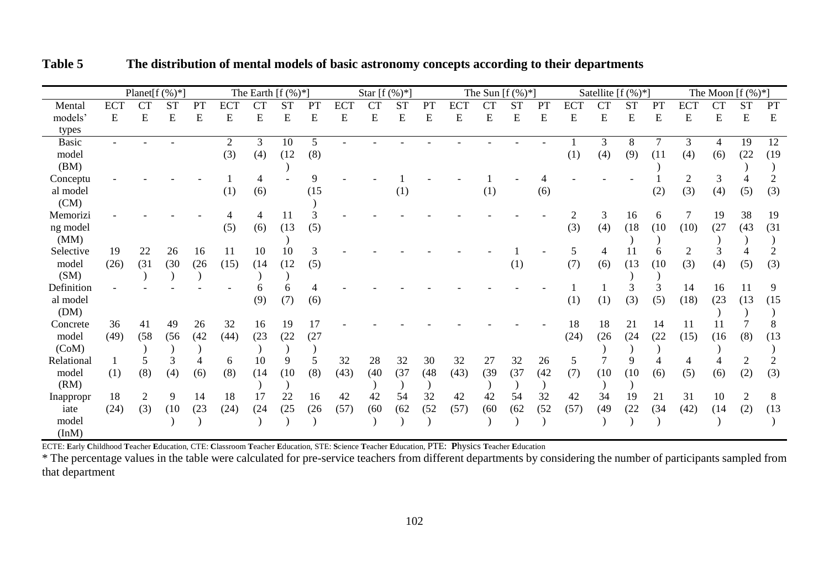|              |            | Planet $[f(\%)^*]$ |           |      |            |      | The Earth $[f(\%)^*]$ |      |      | Star [ $f$ (%)*] |           |      |            | The Sun $[f (\%)^*]$ |           |      |            | Satellite [ $f$ (%)*] |           |      |            | The Moon $[f(\%)^*]$ |                |      |
|--------------|------------|--------------------|-----------|------|------------|------|-----------------------|------|------|------------------|-----------|------|------------|----------------------|-----------|------|------------|-----------------------|-----------|------|------------|----------------------|----------------|------|
| Mental       | <b>ECT</b> | <b>CT</b>          | <b>ST</b> | PT   | <b>ECT</b> | CT   | <b>ST</b>             | PT   | ECT  | <b>CT</b>        | <b>ST</b> | PT   | <b>ECT</b> | <b>CT</b>            | <b>ST</b> | PT   | <b>ECT</b> | <b>CT</b>             | <b>ST</b> | PT   | <b>ECT</b> | <b>CT</b>            | <b>ST</b>      | PT   |
| models'      | E          | E                  | E         | E    | E          | E    | E                     | E    | E    | E                | E         | E    | E          | E                    | E         | E    | E          | E                     | E         | E    | E          | E                    | E              | E    |
| types        |            |                    |           |      |            |      |                       |      |      |                  |           |      |            |                      |           |      |            |                       |           |      |            |                      |                |      |
| <b>Basic</b> |            |                    |           |      | 2          | 3    | 10                    | 5    |      |                  |           |      |            |                      |           |      |            | 3                     | 8         | 7    | 3          | $\overline{4}$       | 19             | 12   |
| model        |            |                    |           |      | (3)        | (4)  | (12)                  | (8)  |      |                  |           |      |            |                      |           |      | (1)        | (4)                   | (9)       | (11) | (4)        | (6)                  | (22)           | (19) |
| (BM)         |            |                    |           |      |            |      |                       |      |      |                  |           |      |            |                      |           |      |            |                       |           |      |            |                      |                |      |
| Conceptu     |            |                    |           |      |            |      |                       |      |      |                  |           |      |            |                      |           |      |            |                       |           |      |            | 3                    |                |      |
| al model     |            |                    |           |      | (1)        | (6)  |                       | (15) |      |                  | (1)       |      |            | (1)                  |           | (6)  |            |                       |           | (2)  | (3)        | (4)                  | (5)            | (3)  |
| (CM)         |            |                    |           |      |            |      |                       |      |      |                  |           |      |            |                      |           |      |            |                       |           |      |            |                      |                |      |
| Memorizi     |            |                    |           |      |            |      | 11                    |      |      |                  |           |      |            |                      |           |      |            | 3                     | 16        | 6    |            | 19                   | 38             | 19   |
| ng model     |            |                    |           |      | (5)        | (6)  | (13)                  | (5)  |      |                  |           |      |            |                      |           |      | (3)        | (4)                   | (18)      | (10) | (10)       | (27)                 | (43)           | (31) |
| (MM)         |            |                    |           |      |            |      |                       |      |      |                  |           |      |            |                      |           |      |            |                       |           |      |            |                      |                |      |
| Selective    | 19         | 22                 | 26        | 16   | 11         | 10   | 10                    | 3    |      |                  |           |      |            |                      |           |      |            |                       | 11        | 6    |            |                      |                |      |
| model        | (26)       | (31)               | (30)      | (26) | (15)       | (14) | (12)                  | (5)  |      |                  |           |      |            |                      | (1)       |      | (7)        | (6)                   | (13)      | (10) | (3)        | (4)                  | (5)            | (3)  |
| (SM)         |            |                    |           |      |            |      |                       |      |      |                  |           |      |            |                      |           |      |            |                       |           |      |            |                      |                |      |
| Definition   |            |                    |           |      |            |      |                       |      |      |                  |           |      |            |                      |           |      |            |                       |           | 3    | 14         | 16                   | 11             | 9    |
| al model     |            |                    |           |      |            | (9)  | (7)                   | (6)  |      |                  |           |      |            |                      |           |      | (1)        | (1)                   | (3)       | (5)  | (18)       | (23)                 | (13)           | (15) |
| (DM)         |            |                    |           |      |            |      |                       |      |      |                  |           |      |            |                      |           |      |            |                       |           |      |            |                      |                |      |
| Concrete     | 36         | 41                 | 49        | 26   | 32         | 16   | 19                    | 17   |      |                  |           |      |            |                      |           |      | 18         | 18                    | 21        | 14   | 11         | 11                   |                |      |
| model        | (49)       | (58)               | (56)      | (42) | (44)       | (23) | (22)                  | (27) |      |                  |           |      |            |                      |           |      | (24)       | (26)                  | (24)      | (22) | (15)       | (16)                 | (8)            | (13) |
| (CoM)        |            |                    |           |      |            |      |                       |      |      |                  |           |      |            |                      |           |      |            |                       |           |      |            |                      |                |      |
| Relational   |            |                    |           |      | 6          | 10   | 9                     |      | 32   | 28               | 32        | 30   | 32         | 27                   | 32        | 26   | 5          |                       |           |      |            |                      |                |      |
| model        | (1)        | (8)                | (4)       | (6)  | (8)        | (14) | (10)                  | (8)  | (43) | (40)             | (37)      | (48) | (43)       | (39)                 | (37)      | (42) | (7)        | (10)                  | (10)      | (6)  | (5)        | (6)                  | (2)            | (3)  |
| (RM)         |            |                    |           |      |            |      |                       |      |      |                  |           |      |            |                      |           |      |            |                       |           |      |            |                      |                |      |
| Inappropr    | 18         | 2                  | 9         | 14   | 18         | 17   | 22                    | 16   | 42   | 42               | 54        | 32   | 42         | 42                   | 54        | 32   | 42         | 34                    | 19        | 21   | 31         | 10                   | $\overline{c}$ | 8    |
| iate         | (24)       | (3)                | (10)      | (23) | (24)       | (24) | (25)                  | (26) | (57) | (60)             | (62)      | (52) | (57)       | (60)                 | (62)      | (52) | (57)       | (49)                  | (22)      | (34) | (42)       | (14)                 | (2)            | (13) |
| model        |            |                    |           |      |            |      |                       |      |      |                  |           |      |            |                      |           |      |            |                       |           |      |            |                      |                |      |
| (InM)        |            |                    |           |      |            |      |                       |      |      |                  |           |      |            |                      |           |      |            |                       |           |      |            |                      |                |      |

**Table 5 The distribution of mental models of basic astronomy concepts according to their departments**

ECTE: Early Childhood Teacher Education, CTE: Classroom Teacher Education, STE: Science Teacher Education, PTE: Physics Teacher Education

\* The percentage values in the table were calculated for pre-service teachers from different departments by considering the number of participants sampled from that department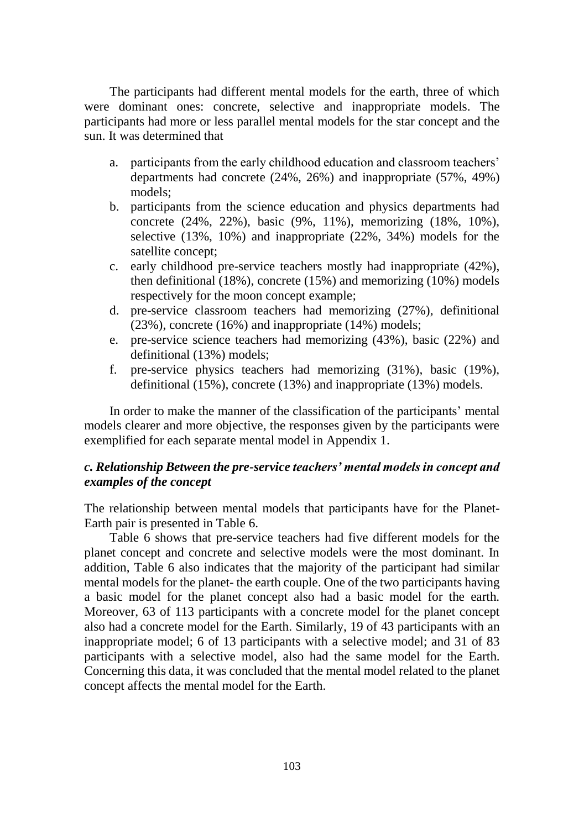The participants had different mental models for the earth, three of which were dominant ones: concrete, selective and inappropriate models. The participants had more or less parallel mental models for the star concept and the sun. It was determined that

- a. participants from the early childhood education and classroom teachers' departments had concrete (24%, 26%) and inappropriate (57%, 49%) models;
- b. participants from the science education and physics departments had concrete (24%, 22%), basic (9%, 11%), memorizing (18%, 10%), selective (13%, 10%) and inappropriate (22%, 34%) models for the satellite concept:
- c. early childhood pre-service teachers mostly had inappropriate (42%), then definitional (18%), concrete (15%) and memorizing (10%) models respectively for the moon concept example;
- d. pre-service classroom teachers had memorizing (27%), definitional (23%), concrete (16%) and inappropriate (14%) models;
- e. pre-service science teachers had memorizing (43%), basic (22%) and definitional (13%) models;
- f. pre-service physics teachers had memorizing (31%), basic (19%), definitional (15%), concrete (13%) and inappropriate (13%) models.

In order to make the manner of the classification of the participants' mental models clearer and more objective, the responses given by the participants were exemplified for each separate mental model in Appendix 1.

# *c. Relationship Between the pre-service teachers' mental models in concept and examples of the concept*

The relationship between mental models that participants have for the Planet-Earth pair is presented in Table 6.

Table 6 shows that pre-service teachers had five different models for the planet concept and concrete and selective models were the most dominant. In addition, Table 6 also indicates that the majority of the participant had similar mental models for the planet- the earth couple. One of the two participants having a basic model for the planet concept also had a basic model for the earth. Moreover, 63 of 113 participants with a concrete model for the planet concept also had a concrete model for the Earth. Similarly, 19 of 43 participants with an inappropriate model; 6 of 13 participants with a selective model; and 31 of 83 participants with a selective model, also had the same model for the Earth. Concerning this data, it was concluded that the mental model related to the planet concept affects the mental model for the Earth.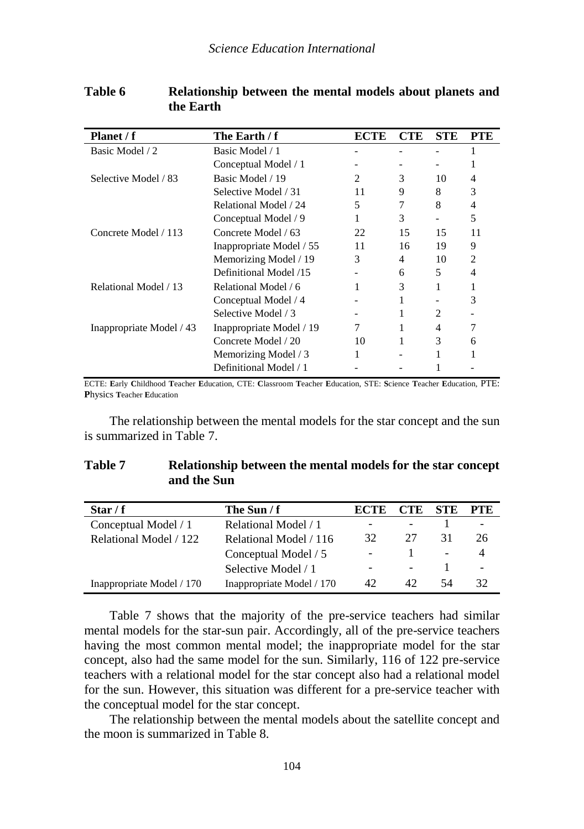| Planet / f               | The Earth / f            | ECTE | <b>CTE</b> | <b>STE</b> | <b>PTE</b> |
|--------------------------|--------------------------|------|------------|------------|------------|
| Basic Model / 2          | Basic Model / 1          |      |            |            |            |
|                          | Conceptual Model / 1     |      |            |            |            |
| Selective Model / 83     | Basic Model / 19         | 2    | 3          | 10         | 4          |
|                          | Selective Model / 31     | 11   | 9          | 8          | 3          |
|                          | Relational Model / 24    | 5    |            | 8          | 4          |
|                          | Conceptual Model / 9     |      | 3          |            | 5          |
| Concrete Model / 113     | Concrete Model / 63      | 22   | 15         | 15         | 11         |
|                          | Inappropriate Model / 55 | 11   | 16         | 19         | 9          |
|                          | Memorizing Model / 19    | 3    | 4          | 10         | 2          |
|                          | Definitional Model /15   |      | 6          | 5          | 4          |
| Relational Model / 13    | Relational Model / 6     |      | 3          |            |            |
|                          | Conceptual Model / 4     |      |            |            | 3          |
|                          | Selective Model / 3      |      |            | 2          |            |
| Inappropriate Model / 43 | Inappropriate Model / 19 |      |            | 4          |            |
|                          | Concrete Model / 20      | 10   |            | 3          | 6          |
|                          | Memorizing Model / 3     |      |            |            |            |
|                          | Definitional Model / 1   |      |            |            |            |

| Table 6 | Relationship between the mental models about planets and |  |
|---------|----------------------------------------------------------|--|
|         | the Earth                                                |  |

ECTE: **E**arly **C**hildhood **T**eacher **E**ducation, CTE: **C**lassroom **T**eacher **E**ducation, STE: **S**cience **T**eacher **E**ducation, PTE: **P**hysics **T**eacher **E**ducation

The relationship between the mental models for the star concept and the sun is summarized in Table 7.

| Table 7 | Relationship between the mental models for the star concept |
|---------|-------------------------------------------------------------|
|         | and the Sun                                                 |

| Star / $f$                | The Sun $/ f$             | <b>ECTE</b> | <b>CTE</b>               | <b>STE</b>               | <b>PTE</b> |
|---------------------------|---------------------------|-------------|--------------------------|--------------------------|------------|
| Conceptual Model / 1      | Relational Model / 1      |             |                          |                          |            |
| Relational Model / 122    | Relational Model / 116    | 32          | 27                       | 31                       | 26         |
|                           | Conceptual Model / 5      | ۰           |                          | $\overline{\phantom{0}}$ |            |
|                           | Selective Model / 1       |             | $\overline{\phantom{a}}$ |                          |            |
| Inappropriate Model / 170 | Inappropriate Model / 170 | 42          | 42                       | 54                       | 32         |

Table 7 shows that the majority of the pre-service teachers had similar mental models for the star-sun pair. Accordingly, all of the pre-service teachers having the most common mental model; the inappropriate model for the star concept, also had the same model for the sun. Similarly, 116 of 122 pre-service teachers with a relational model for the star concept also had a relational model for the sun. However, this situation was different for a pre-service teacher with the conceptual model for the star concept.

The relationship between the mental models about the satellite concept and the moon is summarized in Table 8.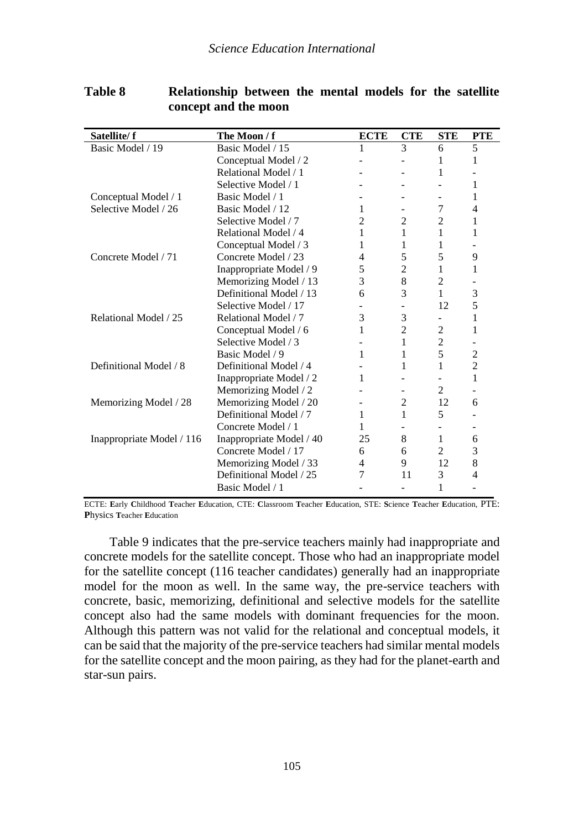| Satellite/f               | The Moon / f             | <b>ECTE</b> | <b>CTE</b>                   | <b>STE</b>     | <b>PTE</b>     |
|---------------------------|--------------------------|-------------|------------------------------|----------------|----------------|
| Basic Model / 19          | Basic Model / 15         | 1           | 3                            | 6              | 5              |
|                           | Conceptual Model / 2     |             | $\qquad \qquad \blacksquare$ | 1              | 1              |
|                           | Relational Model / 1     |             |                              | 1              |                |
|                           | Selective Model / 1      |             |                              |                | 1              |
| Conceptual Model / 1      | Basic Model / 1          |             |                              |                | 1              |
| Selective Model / 26      | Basic Model / 12         | 1           | $\overline{\phantom{a}}$     | 7              | 4              |
|                           | Selective Model / 7      | 2           | $\overline{2}$               | $\overline{c}$ | 1              |
|                           | Relational Model / 4     | 1           | 1                            | 1              | 1              |
|                           | Conceptual Model / 3     | 1           | 1                            | 1              |                |
| Concrete Model / 71       | Concrete Model / 23      | 4           | 5                            | 5              | 9              |
|                           | Inappropriate Model / 9  | 5           | $\overline{2}$               | 1              | 1              |
|                           | Memorizing Model / 13    | 3           | 8                            | $\overline{c}$ |                |
|                           | Definitional Model / 13  | 6           | 3                            | 1              | 3              |
|                           | Selective Model / 17     |             | $\overline{\phantom{a}}$     | 12             | 5              |
| Relational Model / 25     | Relational Model / 7     | 3           | 3                            |                | 1              |
|                           | Conceptual Model / 6     | 1           | $\overline{2}$               | $\overline{2}$ | 1              |
|                           | Selective Model / 3      |             | 1                            | $\overline{2}$ |                |
|                           | Basic Model / 9          | 1           | 1                            | 5              | $\overline{c}$ |
| Definitional Model / 8    | Definitional Model / 4   |             | 1                            | 1              | $\overline{c}$ |
|                           | Inappropriate Model / 2  | 1           |                              |                | 1              |
|                           | Memorizing Model / 2     |             |                              | $\overline{c}$ |                |
| Memorizing Model / 28     | Memorizing Model / 20    |             | $\overline{2}$               | 12             | 6              |
|                           | Definitional Model / 7   | 1           | 1                            | 5              |                |
|                           | Concrete Model / 1       | 1           |                              |                |                |
| Inappropriate Model / 116 | Inappropriate Model / 40 | 25          | 8                            | 1              | 6              |
|                           | Concrete Model / 17      | 6           | 6                            | $\overline{c}$ | 3              |
|                           | Memorizing Model / 33    | 4           | 9                            | 12             | 8              |
|                           | Definitional Model / 25  | 7           | 11                           | 3              | 4              |
|                           | Basic Model / 1          |             | $\overline{\phantom{a}}$     | 1              |                |

## **Table 8 Relationship between the mental models for the satellite concept and the moon**

ECTE: **E**arly **C**hildhood **T**eacher **E**ducation, CTE: **C**lassroom **T**eacher **E**ducation, STE: **S**cience **T**eacher **E**ducation, PTE: **P**hysics **T**eacher **E**ducation

Table 9 indicates that the pre-service teachers mainly had inappropriate and concrete models for the satellite concept. Those who had an inappropriate model for the satellite concept (116 teacher candidates) generally had an inappropriate model for the moon as well. In the same way, the pre-service teachers with concrete, basic, memorizing, definitional and selective models for the satellite concept also had the same models with dominant frequencies for the moon. Although this pattern was not valid for the relational and conceptual models, it can be said that the majority of the pre-service teachers had similar mental models for the satellite concept and the moon pairing, as they had for the planet-earth and star-sun pairs.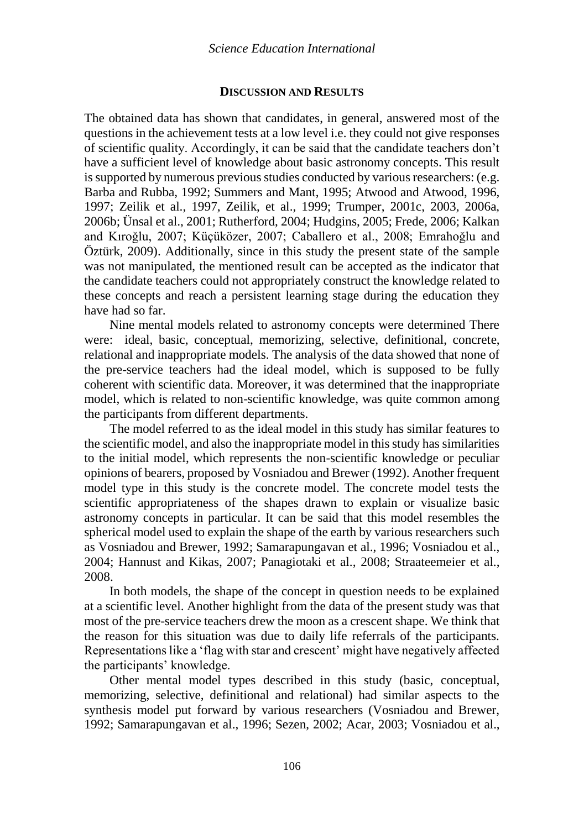### **DISCUSSION AND RESULTS**

The obtained data has shown that candidates, in general, answered most of the questions in the achievement tests at a low level i.e. they could not give responses of scientific quality. Accordingly, it can be said that the candidate teachers don't have a sufficient level of knowledge about basic astronomy concepts. This result is supported by numerous previous studies conducted by various researchers: (e.g. Barba and Rubba, 1992; Summers and Mant, 1995; Atwood and Atwood, 1996, 1997; Zeilik et al., 1997, Zeilik, et al., 1999; Trumper, 2001c, 2003, 2006a, 2006b; Ünsal et al., 2001; Rutherford, 2004; Hudgins, 2005; Frede, 2006; Kalkan and Kıroğlu, 2007; Küçüközer, 2007; Caballero et al., 2008; Emrahoğlu and Öztürk, 2009). Additionally, since in this study the present state of the sample was not manipulated, the mentioned result can be accepted as the indicator that the candidate teachers could not appropriately construct the knowledge related to these concepts and reach a persistent learning stage during the education they have had so far.

Nine mental models related to astronomy concepts were determined There were: ideal, basic, conceptual, memorizing, selective, definitional, concrete, relational and inappropriate models. The analysis of the data showed that none of the pre-service teachers had the ideal model, which is supposed to be fully coherent with scientific data. Moreover, it was determined that the inappropriate model, which is related to non-scientific knowledge, was quite common among the participants from different departments.

The model referred to as the ideal model in this study has similar features to the scientific model, and also the inappropriate model in this study has similarities to the initial model, which represents the non-scientific knowledge or peculiar opinions of bearers, proposed by Vosniadou and Brewer (1992). Another frequent model type in this study is the concrete model. The concrete model tests the scientific appropriateness of the shapes drawn to explain or visualize basic astronomy concepts in particular. It can be said that this model resembles the spherical model used to explain the shape of the earth by various researchers such as Vosniadou and Brewer, 1992; Samarapungavan et al., 1996; Vosniadou et al., 2004; Hannust and Kikas, 2007; Panagiotaki et al., 2008; Straateemeier et al., 2008.

In both models, the shape of the concept in question needs to be explained at a scientific level. Another highlight from the data of the present study was that most of the pre-service teachers drew the moon as a crescent shape. We think that the reason for this situation was due to daily life referrals of the participants. Representations like a 'flag with star and crescent' might have negatively affected the participants' knowledge.

Other mental model types described in this study (basic, conceptual, memorizing, selective, definitional and relational) had similar aspects to the synthesis model put forward by various researchers (Vosniadou and Brewer, 1992; Samarapungavan et al., 1996; Sezen, 2002; Acar, 2003; Vosniadou et al.,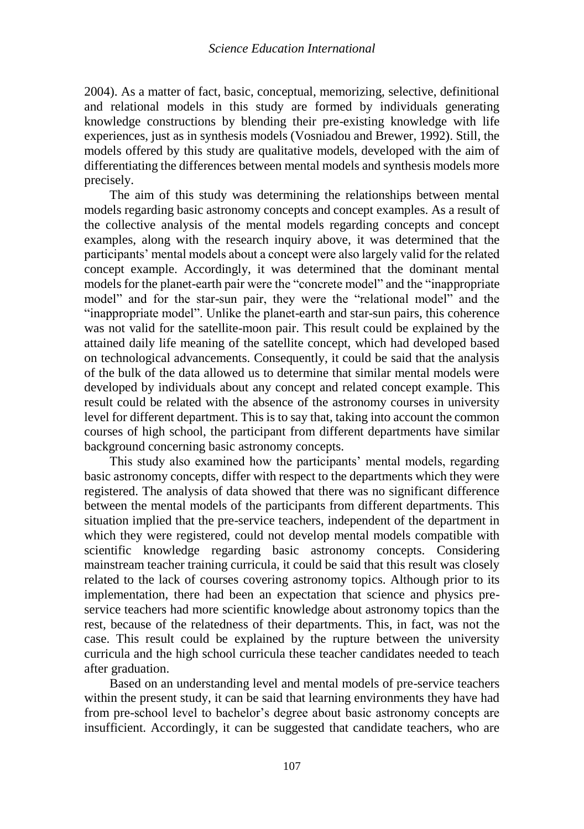2004). As a matter of fact, basic, conceptual, memorizing, selective, definitional and relational models in this study are formed by individuals generating knowledge constructions by blending their pre-existing knowledge with life experiences, just as in synthesis models (Vosniadou and Brewer, 1992). Still, the models offered by this study are qualitative models, developed with the aim of differentiating the differences between mental models and synthesis models more precisely.

The aim of this study was determining the relationships between mental models regarding basic astronomy concepts and concept examples. As a result of the collective analysis of the mental models regarding concepts and concept examples, along with the research inquiry above, it was determined that the participants' mental models about a concept were also largely valid for the related concept example. Accordingly, it was determined that the dominant mental models for the planet-earth pair were the "concrete model" and the "inappropriate model" and for the star-sun pair, they were the "relational model" and the "inappropriate model". Unlike the planet-earth and star-sun pairs, this coherence was not valid for the satellite-moon pair. This result could be explained by the attained daily life meaning of the satellite concept, which had developed based on technological advancements. Consequently, it could be said that the analysis of the bulk of the data allowed us to determine that similar mental models were developed by individuals about any concept and related concept example. This result could be related with the absence of the astronomy courses in university level for different department. This is to say that, taking into account the common courses of high school, the participant from different departments have similar background concerning basic astronomy concepts.

This study also examined how the participants' mental models, regarding basic astronomy concepts, differ with respect to the departments which they were registered. The analysis of data showed that there was no significant difference between the mental models of the participants from different departments. This situation implied that the pre-service teachers, independent of the department in which they were registered, could not develop mental models compatible with scientific knowledge regarding basic astronomy concepts. Considering mainstream teacher training curricula, it could be said that this result was closely related to the lack of courses covering astronomy topics. Although prior to its implementation, there had been an expectation that science and physics preservice teachers had more scientific knowledge about astronomy topics than the rest, because of the relatedness of their departments. This, in fact, was not the case. This result could be explained by the rupture between the university curricula and the high school curricula these teacher candidates needed to teach after graduation.

Based on an understanding level and mental models of pre-service teachers within the present study, it can be said that learning environments they have had from pre-school level to bachelor's degree about basic astronomy concepts are insufficient. Accordingly, it can be suggested that candidate teachers, who are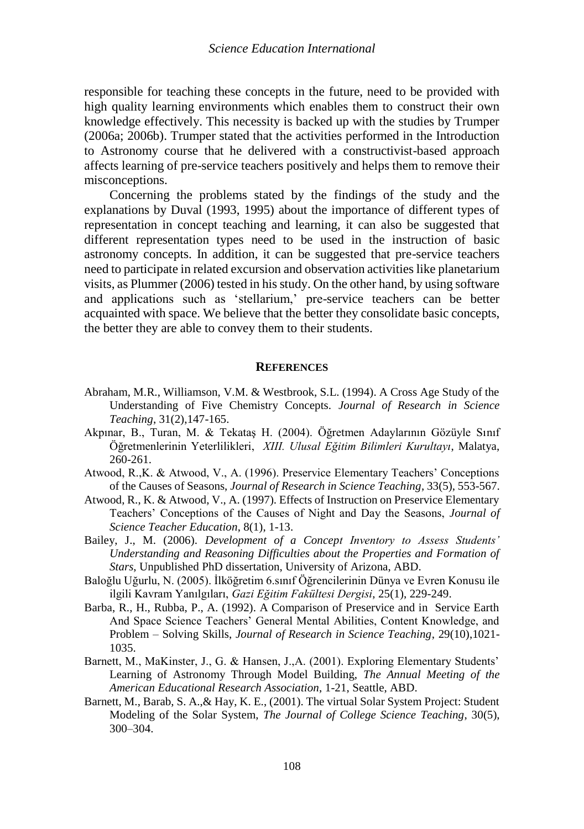responsible for teaching these concepts in the future, need to be provided with high quality learning environments which enables them to construct their own knowledge effectively. This necessity is backed up with the studies by Trumper (2006a; 2006b). Trumper stated that the activities performed in the Introduction to Astronomy course that he delivered with a constructivist-based approach affects learning of pre-service teachers positively and helps them to remove their misconceptions.

Concerning the problems stated by the findings of the study and the explanations by Duval (1993, 1995) about the importance of different types of representation in concept teaching and learning, it can also be suggested that different representation types need to be used in the instruction of basic astronomy concepts. In addition, it can be suggested that pre-service teachers need to participate in related excursion and observation activities like planetarium visits, as Plummer (2006) tested in his study. On the other hand, by using software and applications such as 'stellarium,' pre-service teachers can be better acquainted with space. We believe that the better they consolidate basic concepts, the better they are able to convey them to their students.

#### **REFERENCES**

- Abraham, M.R., Williamson, V.M. & Westbrook, S.L. (1994). A Cross Age Study of the Understanding of Five Chemistry Concepts. *Journal of Research in Science Teaching*, 31(2),147-165.
- Akpınar, B., Turan, M. & Tekataş H. (2004). Öğretmen Adaylarının Gözüyle Sınıf Öğretmenlerinin Yeterlilikleri, *XIII. Ulusal Eğitim Bilimleri Kurultayı*, Malatya, 260-261.
- Atwood, R.,K. & Atwood, V., A. (1996). Preservice Elementary Teachers' Conceptions of the Causes of Seasons, *Journal of Research in Science Teaching*, 33(5), 553-567.
- Atwood, R., K. & Atwood, V., A. (1997). Effects of Instruction on Preservice Elementary Teachers' Conceptions of the Causes of Night and Day the Seasons, *Journal of Science Teacher Education*, 8(1), 1-13.
- Bailey, J., M. (2006). *Development of a Concept Inventory to Assess Students' Understanding and Reasoning Difficulties about the Properties and Formation of Stars*, Unpublished PhD dissertation, University of Arizona, ABD.
- Baloğlu Uğurlu, N. (2005). İlköğretim 6.sınıf Öğrencilerinin Dünya ve Evren Konusu ile ilgili Kavram Yanılgıları, *Gazi Eğitim Fakültesi Dergisi*, 25(1), 229-249.
- Barba, R., H., Rubba, P., A. (1992). A Comparison of Preservice and in Service Earth And Space Science Teachers' General Mental Abilities, Content Knowledge, and Problem – Solving Skills, *Journal of Research in Science Teaching*, 29(10),1021- 1035.
- Barnett, M., MaKinster, J., G. & Hansen, J.,A. (2001). Exploring Elementary Students' Learning of Astronomy Through Model Building, *The Annual Meeting of the American Educational Research Association*, 1-21, Seattle, ABD.
- Barnett, M., Barab, S. A.,& Hay, K. E., (2001). The virtual Solar System Project: Student Modeling of the Solar System, *The Journal of College Science Teaching*, 30(5), 300–304.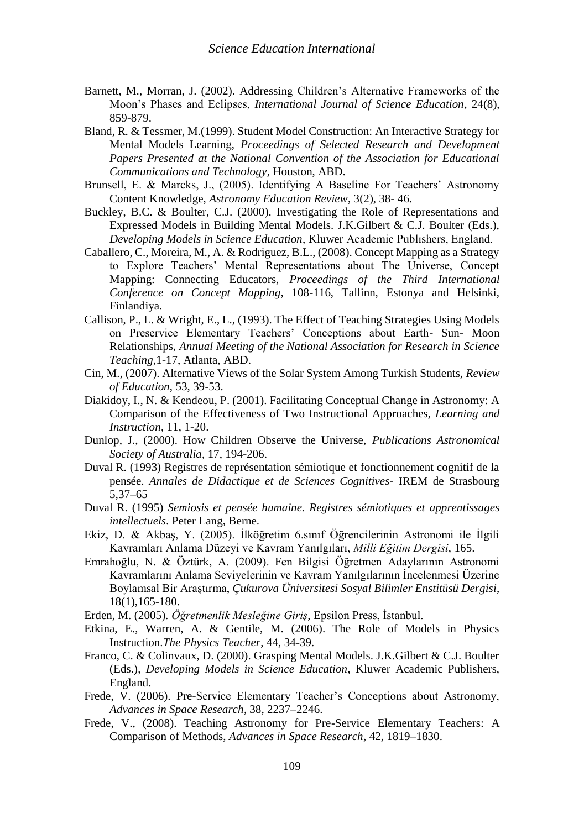- Barnett, M., Morran, J. (2002). Addressing Children's Alternative Frameworks of the Moon's Phases and Eclipses, *International Journal of Science Education*, 24(8), 859-879.
- Bland, R. & Tessmer, M.(1999). Student Model Construction: An Interactive Strategy for Mental Models Learning, *Proceedings of Selected Research and Development Papers Presented at the National Convention of the Association for Educational Communications and Technology*, Houston, ABD.
- Brunsell, E. & Marcks, J., (2005). Identifying A Baseline For Teachers' Astronomy Content Knowledge, *Astronomy Education Review*, 3(2), 38- 46.
- Buckley, B.C. & Boulter, C.J. (2000). Investigating the Role of Representations and Expressed Models in Building Mental Models. J.K.Gilbert & C.J. Boulter (Eds.), *Developing Models in Science Education*, Kluwer Academic Publıshers, England.
- Caballero, C., Moreira, M., A. & Rodriguez, B.L., (2008). Concept Mapping as a Strategy to Explore Teachers' Mental Representations about The Universe, Concept Mapping: Connecting Educators, *Proceedings of the Third International Conference on Concept Mapping*, 108-116, Tallinn, Estonya and Helsinki, Finlandiya.
- Callison, P., L. & Wright, E., L., (1993). The Effect of Teaching Strategies Using Models on Preservice Elementary Teachers' Conceptions about Earth- Sun- Moon Relationships, *Annual Meeting of the National Association for Research in Science Teaching*,1-17, Atlanta, ABD.
- Cin, M., (2007). Alternative Views of the Solar System Among Turkish Students, *Review of Education*, 53, 39-53.
- Diakidoy, I., N. & Kendeou, P. (2001). Facilitating Conceptual Change in Astronomy: A Comparison of the Effectiveness of Two Instructional Approaches, *Learning and Instruction*, 11, 1-20.
- Dunlop, J., (2000). How Children Observe the Universe, *Publications Astronomical Society of Australia*, 17, 194-206.
- Duval R. (1993) Registres de représentation sémiotique et fonctionnement cognitif de la pensée. *Annales de Didactique et de Sciences Cognitives*- IREM de Strasbourg 5,37–65
- Duval R. (1995) *Semiosis et pensée humaine. Registres sémiotiques et apprentissages intellectuels*. Peter Lang, Berne.
- Ekiz, D. & Akbaş, Y. (2005). İlköğretim 6.sınıf Öğrencilerinin Astronomi ile İlgili Kavramları Anlama Düzeyi ve Kavram Yanılgıları, *Milli Eğitim Dergisi*, 165.
- Emrahoğlu, N. & Öztürk, A. (2009). Fen Bilgisi Öğretmen Adaylarının Astronomi Kavramlarını Anlama Seviyelerinin ve Kavram Yanılgılarının İncelenmesi Üzerine Boylamsal Bir Araştırma, *Çukurova Üniversitesi Sosyal Bilimler Enstitüsü Dergisi*, 18(1),165-180.
- Erden, M. (2005). *Öğretmenlik Mesleğine Giriş*, Epsilon Press, İstanbul.
- Etkina, E., Warren, A. & Gentile, M. (2006). The Role of Models in Physics Instruction.*The Physics Teacher*, 44, 34-39.
- Franco, C. & Colinvaux, D. (2000). Grasping Mental Models. J.K.Gilbert & C.J. Boulter (Eds.), *Developing Models in Science Education*, Kluwer Academic Publishers, England.
- Frede, V. (2006). Pre-Service Elementary Teacher's Conceptions about Astronomy, *Advances in Space Research*, 38, 2237–2246.
- Frede, V., (2008). Teaching Astronomy for Pre-Service Elementary Teachers: A Comparison of Methods, *Advances in Space Research*, 42, 1819–1830.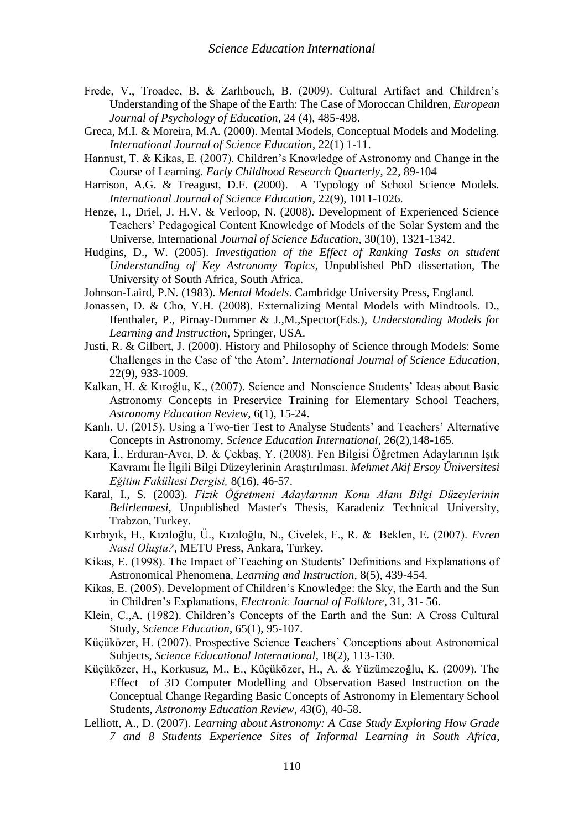- Frede, V., Troadec, B. & Zarhbouch, B. (2009). Cultural Artifact and Children's Understanding of the Shape of the Earth: The Case of Moroccan Children, *European Journal of Psychology of Education*, 24 (4), 485-498.
- Greca, M.I. & Moreira, M.A. (2000). Mental Models, Conceptual Models and Modeling. *International Journal of Science Education*, 22(1) 1-11.
- Hannust, T. & Kikas, E. (2007). Children's Knowledge of Astronomy and Change in the Course of Learning. *Early Childhood Research Quarterly*, 22, 89-104
- Harrison, A.G. & Treagust, D.F. (2000). A Typology of School Science Models. *International Journal of Science Education*, 22(9), 1011-1026.
- Henze, I., Driel, J. H.V. & Verloop, N. (2008). Development of Experienced Science Teachers' Pedagogical Content Knowledge of Models of the Solar System and the Universe, International *Journal of Science Education*, 30(10), 1321-1342.
- Hudgins, D., W. (2005). *Investigation of the Effect of Ranking Tasks on student Understanding of Key Astronomy Topics*, Unpublished PhD dissertation, The University of South Africa, South Africa.
- Johnson-Laird, P.N. (1983). *Mental Models*. Cambridge University Press, England.
- Jonassen, D. & Cho, Y.H. (2008). Externalizing Mental Models with Mindtools. D., Ifenthaler, P., Pirnay-Dummer & J.,M.,Spector(Eds.), *Understanding Models for Learning and Instruction*, Springer, USA.
- Justi, R. & Gilbert, J. (2000). History and Philosophy of Science through Models: Some Challenges in the Case of 'the Atom'. *International Journal of Science Education*, 22(9), 933-1009.
- Kalkan, H. & Kıroğlu, K., (2007). Science and Nonscience Students' Ideas about Basic Astronomy Concepts in Preservice Training for Elementary School Teachers, *Astronomy Education Review*, 6(1), 15-24.
- Kanlı, U. (2015). Using a Two-tier Test to Analyse Students' and Teachers' Alternative Concepts in Astronomy, *Science Education International*, 26(2),148-165.
- Kara, İ., Erduran-Avcı, D. & Çekbaş, Y. (2008). Fen Bilgisi Öğretmen Adaylarının Işık Kavramı İle İlgili Bilgi Düzeylerinin Araştırılması. *Mehmet Akif Ersoy Üniversitesi Eğitim Fakültesi Dergisi,* 8(16), 46-57.
- Karal, I., S. (2003). *Fizik Öğretmeni Adaylarının Konu Alanı Bilgi Düzeylerinin Belirlenmesi*, Unpublished Master's Thesis, Karadeniz Technical University, Trabzon, Turkey.
- Kırbıyık, H., Kızıloğlu, Ü., Kızıloğlu, N., Civelek, F., R. & Beklen, E. (2007). *Evren Nasıl Oluştu?*, METU Press, Ankara, Turkey.
- Kikas, E. (1998). The Impact of Teaching on Students' Definitions and Explanations of Astronomical Phenomena, *Learning and Instruction*, 8(5), 439-454.
- Kikas, E. (2005). Development of Children's Knowledge: the Sky, the Earth and the Sun in Children's Explanations, *Electronic Journal of Folklore*, 31, 31- 56.
- Klein, C.,A. (1982). Children's Concepts of the Earth and the Sun: A Cross Cultural Study, *Science Education*, 65(1), 95-107.
- Küçüközer, H. (2007). Prospective Science Teachers' Conceptions about Astronomical Subjects, *Science Educational International*, 18(2), 113-130.
- Küçüközer, H., Korkusuz, M., E., Küçüközer, H., A. & Yüzümezoğlu, K. (2009). The Effect of 3D Computer Modelling and Observation Based Instruction on the Conceptual Change Regarding Basic Concepts of Astronomy in Elementary School Students, *Astronomy Education Review*, 43(6), 40-58.
- Lelliott, A., D. (2007). *Learning about Astronomy: A Case Study Exploring How Grade 7 and 8 Students Experience Sites of Informal Learning in South Africa*,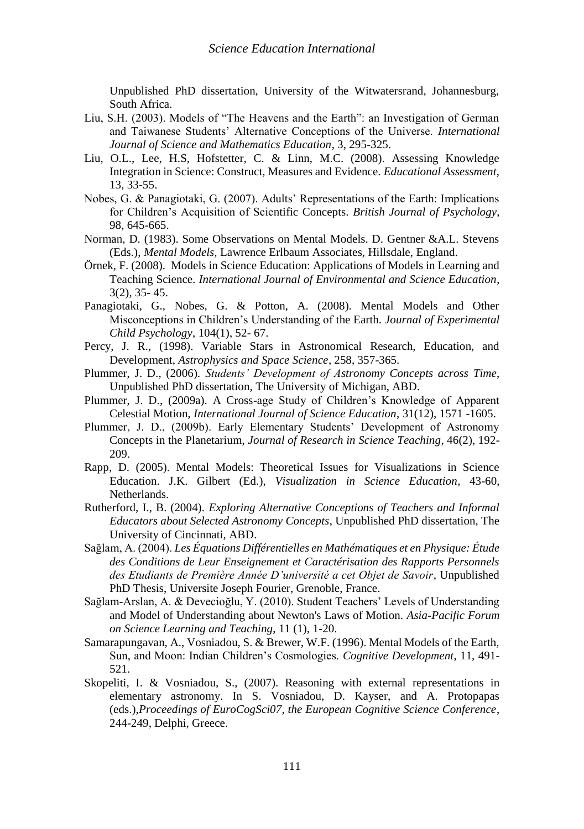Unpublished PhD dissertation, University of the Witwatersrand, Johannesburg, South Africa.

- Liu, S.H. (2003). Models of "The Heavens and the Earth": an Investigation of German and Taiwanese Students' Alternative Conceptions of the Universe. *International Journal of Science and Mathematics Education*, 3, 295-325.
- Liu, O.L., Lee, H.S, Hofstetter, C. & Linn, M.C. (2008). Assessing Knowledge Integration in Science: Construct, Measures and Evidence. *Educational Assessment*, 13, 33-55.
- Nobes, G. & Panagiotaki, G. (2007). Adults' Representations of the Earth: Implications for Children's Acquisition of Scientific Concepts. *British Journal of Psychology*, 98, 645-665.
- Norman, D. (1983). Some Observations on Mental Models. D. Gentner &A.L. Stevens (Eds.), *Mental Models,* Lawrence Erlbaum Associates, Hillsdale, England.
- Örnek, F. (2008). Models in Science Education: Applications of Models in Learning and Teaching Science. *International Journal of Environmental and Science Education*, 3(2), 35- 45.
- Panagiotaki, G., Nobes, G. & Potton, A. (2008). Mental Models and Other Misconceptions in Children's Understanding of the Earth. *Journal of Experimental Child Psychology*, 104(1), 52- 67.
- Percy, J. R., (1998). Variable Stars in Astronomical Research, Education, and Development, *Astrophysics and Space Science*, 258, 357-365.
- Plummer, J. D., (2006). *Students' Development of Astronomy Concepts across Time*, Unpublished PhD dissertation, The University of Michigan, ABD.
- Plummer, J. D., (2009a). A Cross-age Study of Children's Knowledge of Apparent Celestial Motion, *International Journal of Science Education*, 31(12), 1571 -1605.
- Plummer, J. D., (2009b). Early Elementary Students' Development of Astronomy Concepts in the Planetarium, *Journal of Research in Science Teaching*, 46(2), 192- 209.
- Rapp, D. (2005). Mental Models: Theoretical Issues for Visualizations in Science Education. J.K. Gilbert (Ed.), *Visualization in Science Education*, 43-60, Netherlands.
- Rutherford, I., B. (2004). *Exploring Alternative Conceptions of Teachers and Informal Educators about Selected Astronomy Concepts*, Unpublished PhD dissertation, The University of Cincinnati, ABD.
- Sağlam, A. (2004). *Les Équations Différentielles en Mathématiques et en Physique: Étude des Conditions de Leur Enseignement et Caractérisation des Rapports Personnels des Etudiants de Première Année D'université a cet Objet de Savoir*, Unpublished PhD Thesis, Universite Joseph Fourier, Grenoble, France.
- Sağlam-Arslan, A. & Devecioğlu, Y. (2010). Student Teachers' Levels of Understanding and Model of Understanding about Newton's Laws of Motion. *Asia-Pacific Forum on Science Learning and Teaching*, 11 (1), 1-20.
- Samarapungavan, A., Vosniadou, S. & Brewer, W.F. (1996). Mental Models of the Earth, Sun, and Moon: Indian Children's Cosmologies. *Cognitive Development*, 11, 491- 521.
- Skopeliti, I. & Vosniadou, S., (2007). Reasoning with external representations in elementary astronomy. In S. Vosniadou, D. Kayser, and A. Protopapas (eds.),*Proceedings of EuroCogSci07, the European Cognitive Science Conference*, 244-249, Delphi, Greece.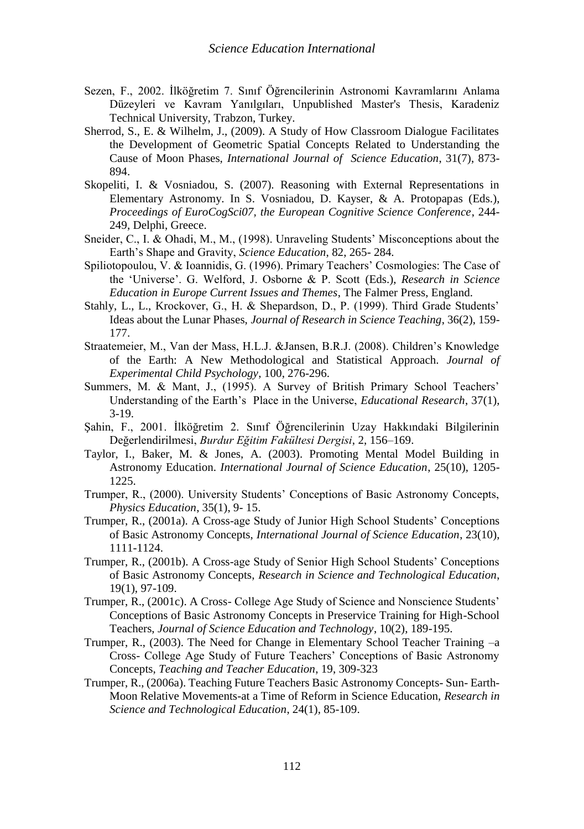- Sezen, F., 2002. İlköğretim 7. Sınıf Öğrencilerinin Astronomi Kavramlarını Anlama Düzeyleri ve Kavram Yanılgıları, Unpublished Master's Thesis, Karadeniz Technical University, Trabzon, Turkey.
- Sherrod, S., E. & Wilhelm, J., (2009). A Study of How Classroom Dialogue Facilitates the Development of Geometric Spatial Concepts Related to Understanding the Cause of Moon Phases, *International Journal of Science Education*, 31(7), 873- 894.
- Skopeliti, I. & Vosniadou, S. (2007). Reasoning with External Representations in Elementary Astronomy. In S. Vosniadou, D. Kayser, & A. Protopapas (Eds.), *Proceedings of EuroCogSci07, the European Cognitive Science Conference*, 244- 249, Delphi, Greece.
- Sneider, C., I. & Ohadi, M., M., (1998). Unraveling Students' Misconceptions about the Earth's Shape and Gravity, *Science Education*, 82, 265- 284.
- Spiliotopoulou, V. & Ioannidis, G. (1996). Primary Teachers' Cosmologies: The Case of the 'Universe'. G. Welford, J. Osborne & P. Scott (Eds.), *Research in Science Education in Europe Current Issues and Themes*, The Falmer Press, England.
- Stahly, L., L., Krockover, G., H. & Shepardson, D., P. (1999). Third Grade Students' Ideas about the Lunar Phases, *Journal of Research in Science Teaching*, 36(2), 159- 177.
- Straatemeier, M., Van der Mass, H.L.J. &Jansen, B.R.J. (2008). Children's Knowledge of the Earth: A New Methodological and Statistical Approach. *Journal of Experimental Child Psychology*, 100, 276-296.
- Summers, M. & Mant, J., (1995). A Survey of British Primary School Teachers' Understanding of the Earth's Place in the Universe, *Educational Research*, 37(1), 3-19.
- Şahin, F., 2001. İlköğretim 2. Sınıf Öğrencilerinin Uzay Hakkındaki Bilgilerinin Değerlendirilmesi, *Burdur Eğitim Fakültesi Dergisi*, 2, 156–169.
- Taylor, I., Baker, M. & Jones, A. (2003). Promoting Mental Model Building in Astronomy Education. *International Journal of Science Education*, 25(10), 1205- 1225.
- Trumper, R., (2000). University Students' Conceptions of Basic Astronomy Concepts, *Physics Education*, 35(1), 9- 15.
- Trumper, R., (2001a). A Cross-age Study of Junior High School Students' Conceptions of Basic Astronomy Concepts, *International Journal of Science Education*, 23(10), 1111-1124.
- Trumper, R., (2001b). A Cross-age Study of Senior High School Students' Conceptions of Basic Astronomy Concepts, *Research in Science and Technological Education*, 19(1), 97-109.
- Trumper, R., (2001c). A Cross- College Age Study of Science and Nonscience Students' Conceptions of Basic Astronomy Concepts in Preservice Training for High-School Teachers, *Journal of Science Education and Technology*, 10(2), 189-195.
- Trumper, R., (2003). The Need for Change in Elementary School Teacher Training –a Cross- College Age Study of Future Teachers' Conceptions of Basic Astronomy Concepts, *Teaching and Teacher Education*, 19, 309-323
- Trumper, R., (2006a). Teaching Future Teachers Basic Astronomy Concepts- Sun- Earth-Moon Relative Movements-at a Time of Reform in Science Education, *Research in Science and Technological Education*, 24(1), 85-109.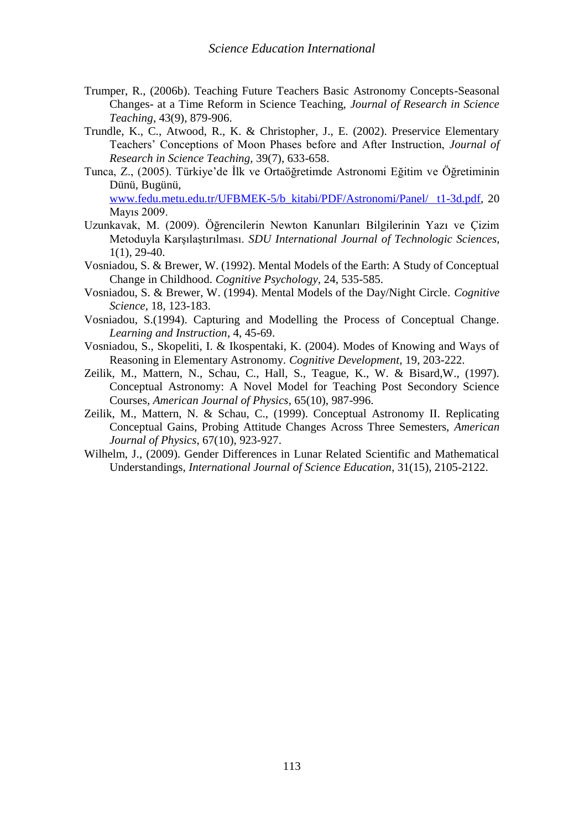- Trumper, R., (2006b). Teaching Future Teachers Basic Astronomy Concepts-Seasonal Changes- at a Time Reform in Science Teaching, *Journal of Research in Science Teaching*, 43(9), 879-906.
- Trundle, K., C., Atwood, R., K. & Christopher, J., E. (2002). Preservice Elementary Teachers' Conceptions of Moon Phases before and After Instruction, *Journal of Research in Science Teaching,* 39(7), 633-658.
- Tunca, Z., (2005). Türkiye'de İlk ve Ortaöğretimde Astronomi Eğitim ve Öğretiminin Dünü, Bugünü, [www.fedu.metu.edu.tr/UFBMEK-5/b\\_kitabi/PDF/Astronomi/Panel/ t1-3d.pdf,](http://www.fedu.metu.edu.tr/UFBMEK-5/b_kitabi/PDF/Astronomi/Panel/%20%20t1-3d.pdf) 20

Mayıs 2009.

- Uzunkavak, M. (2009). Öğrencilerin Newton Kanunları Bilgilerinin Yazı ve Çizim Metoduyla Karşılaştırılması. *SDU International Journal of Technologic Sciences*, 1(1), 29-40.
- Vosniadou, S. & Brewer, W. (1992). Mental Models of the Earth: A Study of Conceptual Change in Childhood. *Cognitive Psychology,* 24, 535-585.
- Vosniadou, S. & Brewer, W. (1994). Mental Models of the Day/Night Circle. *Cognitive Science,* 18, 123-183.
- Vosniadou, S.(1994). Capturing and Modelling the Process of Conceptual Change. *Learning and Instruction*, 4, 45-69.
- Vosniadou, S., Skopeliti, I. & Ikospentaki, K. (2004). Modes of Knowing and Ways of Reasoning in Elementary Astronomy. *Cognitive Development*, 19, 203-222.
- Zeilik, M., Mattern, N., Schau, C., Hall, S., Teague, K., W. & Bisard,W., (1997). Conceptual Astronomy: A Novel Model for Teaching Post Secondory Science Courses, *American Journal of Physics*, 65(10), 987-996.
- Zeilik, M., Mattern, N. & Schau, C., (1999). Conceptual Astronomy II. Replicating Conceptual Gains, Probing Attitude Changes Across Three Semesters, *American Journal of Physics*, 67(10), 923-927.
- Wilhelm, J., (2009). Gender Differences in Lunar Related Scientific and Mathematical Understandings, *International Journal of Science Education*, 31(15), 2105-2122.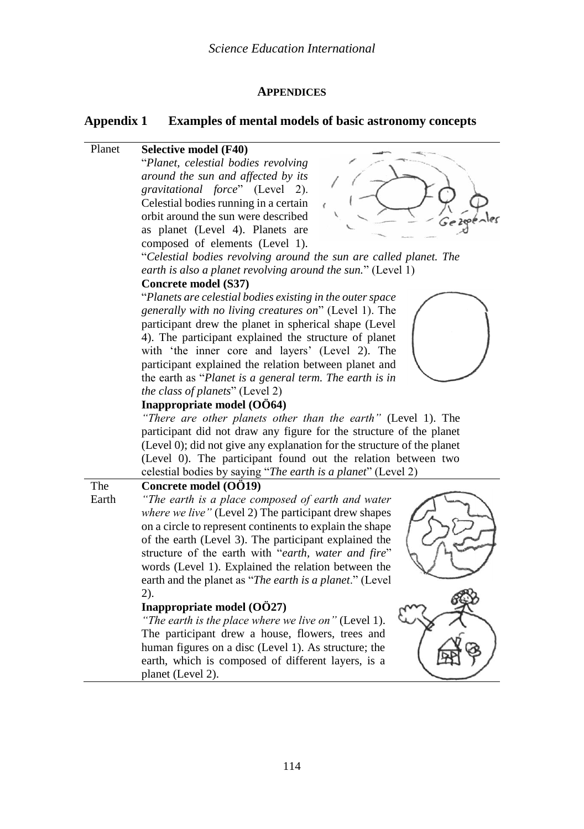### **APPENDICES**

### **Appendix 1 Examples of mental models of basic astronomy concepts**

### Planet **Selective model (F40)**

"*Planet, celestial bodies revolving around the sun and affected by its gravitational force*" (Level 2). Celestial bodies running in a certain orbit around the sun were described as planet (Level 4). Planets are composed of elements (Level 1).



"*Celestial bodies revolving around the sun are called planet. The earth is also a planet revolving around the sun.*" (Level 1)

### **Concrete model (S37)**

"*Planets are celestial bodies existing in the outer space generally with no living creatures on*" (Level 1). The participant drew the planet in spherical shape (Level 4). The participant explained the structure of planet with 'the inner core and layers' (Level 2). The participant explained the relation between planet and the earth as "*Planet is a general term. The earth is in the class of planets*" (Level 2)



# **Inappropriate model (OÖ64)**

*"There are other planets other than the earth"* (Level 1). The participant did not draw any figure for the structure of the planet (Level 0); did not give any explanation for the structure of the planet (Level 0). The participant found out the relation between two celestial bodies by saying "*The earth is a planet*" (Level 2)

### **Concrete model (OÖ19)**

The Earth

*"The earth is a place composed of earth and water where we live"* (Level 2) The participant drew shapes on a circle to represent continents to explain the shape of the earth (Level 3). The participant explained the structure of the earth with "*earth, water and fire*" words (Level 1). Explained the relation between the earth and the planet as "*The earth is a planet*." (Level 2).

### **Inappropriate model (OÖ27)**

*"The earth is the place where we live on"* (Level 1). The participant drew a house, flowers, trees and human figures on a disc (Level 1). As structure; the earth, which is composed of different layers, is a planet (Level 2).

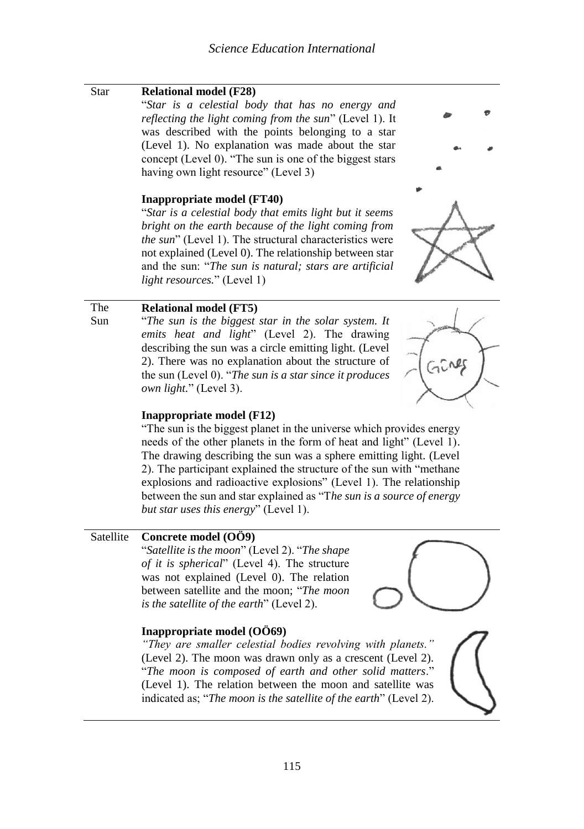| Star       | <b>Relational model (F28)</b>                                                                                                                                                                                                                                                                                                               |
|------------|---------------------------------------------------------------------------------------------------------------------------------------------------------------------------------------------------------------------------------------------------------------------------------------------------------------------------------------------|
|            | "Star is a celestial body that has no energy and<br>reflecting the light coming from the sun" (Level 1). It<br>was described with the points belonging to a star                                                                                                                                                                            |
|            | (Level 1). No explanation was made about the star<br>concept (Level 0). "The sun is one of the biggest stars<br>having own light resource" (Level 3)                                                                                                                                                                                        |
|            | Inappropriate model (FT40)                                                                                                                                                                                                                                                                                                                  |
|            | "Star is a celestial body that emits light but it seems<br>bright on the earth because of the light coming from<br>the sun" (Level 1). The structural characteristics were<br>not explained (Level 0). The relationship between star<br>and the sun: "The sun is natural; stars are artificial                                              |
|            | <i>light resources.</i> " (Level 1)                                                                                                                                                                                                                                                                                                         |
| The<br>Sun | <b>Relational model (FT5)</b><br>"The sun is the biggest star in the solar system. It<br>emits heat and light" (Level 2). The drawing<br>describing the sun was a circle emitting light. (Level<br>2). There was no explanation about the structure of<br>the sun (Level 0). "The sun is a star since it produces<br>own light." (Level 3). |
|            | Inappropriate model (F12)                                                                                                                                                                                                                                                                                                                   |
|            | "The sun is the biggest planet in the universe which provides energy<br>needs of the other planets in the form of heat and light" (Level 1).                                                                                                                                                                                                |
|            | The drawing describing the sun was a sphere emitting light. (Level                                                                                                                                                                                                                                                                          |
|            | 2). The participant explained the structure of the sun with "methane<br>explosions and radioactive explosions" (Level 1). The relationship<br>between the sun and star explained as "The sun is a source of energy                                                                                                                          |

## Satellite **Concrete model (OÖ9)**

"*Satellite is the moon*" (Level 2). "*The shape of it is spherical*" (Level 4). The structure was not explained (Level 0). The relation between satellite and the moon; "*The moon is the satellite of the earth*" (Level 2).

*but star uses this energy*" (Level 1).

## **Inappropriate model (OÖ69)**

*"They are smaller celestial bodies revolving with planets."* (Level 2). The moon was drawn only as a crescent (Level 2). "*The moon is composed of earth and other solid matters*." (Level 1). The relation between the moon and satellite was indicated as; "*The moon is the satellite of the earth*" (Level 2).